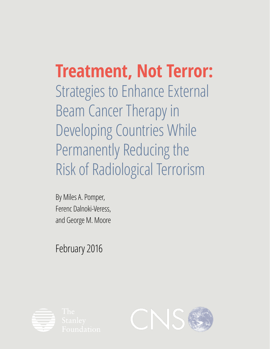**Treatment, Not Terror:** Strategies to Enhance External Beam Cancer Therapy in Developing Countries While Permanently Reducing the Risk of Radiological Terrorism

By Miles A. Pomper, Ferenc Dalnoki-Veress, and George M. Moore

February 2016



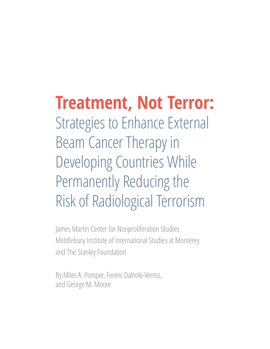# **Treatment, Not Terror:** Strategies to Enhance External Beam Cancer Therapy in Developing Countries While Permanently Reducing the Risk of Radiological Terrorism

James Martin Center for Nonproliferation Studies Middlebury Institute of International Studies at Monterey and The Stanley Foundation

By Miles A. Pomper, Ferenc Dalnoki-Veress, and George M. Moore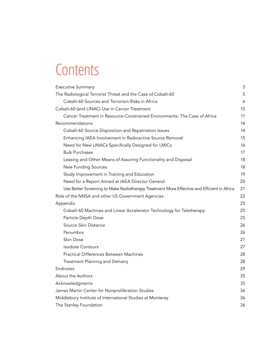## **Contents**

| <b>Executive Summary</b>                                                                   | 3  |  |  |  |  |
|--------------------------------------------------------------------------------------------|----|--|--|--|--|
| The Radiological Terrorist Threat and the Case of Cobalt-60                                |    |  |  |  |  |
| Cobalt-60 Sources and Terrorism Risks in Africa                                            |    |  |  |  |  |
| Cobalt-60 (and LINAC) Use in Cancer Treatment                                              |    |  |  |  |  |
| Cancer Treatment in Resource-Constrained Environments: The Case of Africa                  | 11 |  |  |  |  |
| Recommendations                                                                            | 14 |  |  |  |  |
| Cobalt-60 Source Disposition and Repatriation Issues                                       | 14 |  |  |  |  |
| Enhancing IAEA Involvement in Radioactive Source Removal                                   | 15 |  |  |  |  |
| Need for New LINACs Specifically Designed for LMICs                                        |    |  |  |  |  |
| <b>Bulk Purchases</b>                                                                      | 17 |  |  |  |  |
| Leasing and Other Means of Assuring Functionality and Disposal                             | 18 |  |  |  |  |
| <b>New Funding Sources</b>                                                                 | 18 |  |  |  |  |
| Study Improvement in Training and Education                                                | 19 |  |  |  |  |
| Need for a Report Aimed at IAEA Director General                                           | 20 |  |  |  |  |
| Use Better Screening to Make Radiotherapy Treatment More Effective and Efficient in Africa | 21 |  |  |  |  |
| Role of the NNSA and other US Government Agencies                                          | 22 |  |  |  |  |
| Appendix                                                                                   | 25 |  |  |  |  |
| Cobalt-60 Machines and Linear Accelerator Technology for Teletherapy                       | 25 |  |  |  |  |
| Particle Depth Dose                                                                        | 25 |  |  |  |  |
| Source Skin Distance                                                                       | 26 |  |  |  |  |
| Penumbra                                                                                   | 26 |  |  |  |  |
| Skin Dose                                                                                  | 27 |  |  |  |  |
| <b>Isodose Contours</b>                                                                    | 27 |  |  |  |  |
| <b>Practical Differences Between Machines</b>                                              | 28 |  |  |  |  |
| Treatment Planning and Delivery                                                            | 28 |  |  |  |  |
| Endnotes                                                                                   | 29 |  |  |  |  |
| About the Authors                                                                          | 35 |  |  |  |  |
| Acknowledgments                                                                            | 35 |  |  |  |  |
| James Martin Center for Nonproliferation Studies                                           | 36 |  |  |  |  |
| Middlebury Institute of International Studies at Monterey<br>36                            |    |  |  |  |  |
| The Stanley Foundation<br>36                                                               |    |  |  |  |  |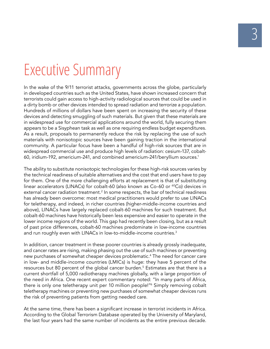## Executive Summary

In the wake of the 9/11 terrorist attacks, governments across the globe, particularly in developed countries such as the United States, have shown increased concern that terrorists could gain access to high-activity radiological sources that could be used in a dirty bomb or other devices intended to spread radiation and terrorize a population. Hundreds of millions of dollars have been spent on increasing the security of these devices and detecting smuggling of such materials. But given that these materials are in widespread use for commercial applications around the world, fully securing them appears to be a Sisyphean task as well as one requiring endless budget expenditures. As a result, proposals to permanently reduce the risk by replacing the use of such materials with nonisotopic sources have been gaining traction in the international community. A particular focus have been a handful of high-risk sources that are in widespread commercial use and produce high levels of radiation: cesium-137, cobalt-60, iridium-192, americium-241, and combined americium-241/beryllium sources.1

The ability to substitute nonisotopic technologies for these high-risk sources varies by the technical readiness of suitable alternatives and the cost that end users have to pay for them. One of the more challenging efforts at replacement is that of substituting linear accelerators (LINACs) for cobalt-60 (also known as Co-60 or <sup>60</sup>Co) devices in external cancer radiation treatment.<sup>2</sup> In some respects, the bar of technical readiness has already been overcome: most medical practitioners would prefer to use LINACs for teletherapy, and indeed, in richer countries (higher-middle-income countries and above), LINACs have largely replaced cobalt-60 machines for such treatment. But cobalt-60 machines have historically been less expensive and easier to operate in the lower income regions of the world. This gap had recently been closing, but as a result of past price differences, cobalt-60 machines predominate in low-income countries and run roughly even with LINACs in low-to-middle-income countries.<sup>3</sup>

In addition, cancer treatment in these poorer countries is already grossly inadequate, and cancer rates are rising, making phasing out the use of such machines or preventing new purchases of somewhat cheaper devices problematic.4 The need for cancer care in low- and middle-income countries (LMICs) is huge: they have 5 percent of the resources but 80 percent of the global cancer burden.<sup>5</sup> Estimates are that there is a current shortfall of 5,000 radiotherapy machines globally, with a large proportion of the need in Africa. One recent expert commentary noted: "In many parts of Africa, there is only one teletherapy unit per 10 million people!"6 Simply removing cobalt teletherapy machines or preventing new purchases of somewhat cheaper devices runs the risk of preventing patients from getting needed care.

At the same time, there has been a significant increase in terrorist incidents in Africa. According to the Global Terrorism Database operated by the University of Maryland, the last four years had the same number of incidents as the entire previous decade.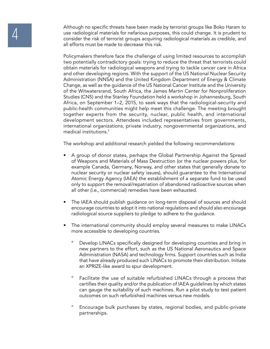Although no specific threats have been made by terrorist groups like Boko Haram to<br>use radiological materials for nefarious purposes, this could change. It is prudent to<br>consider the risk of terrorist groups acquiring radi use radiological materials for nefarious purposes, this could change. It is prudent to all efforts must be made to decrease this risk.

> Policymakers therefore face the challenge of using limited resources to accomplish two potentially contradictory goals: trying to reduce the threat that terrorists could obtain materials for radiological weapons and trying to tackle cancer care in Africa and other developing regions. With the support of the US National Nuclear Security Administration (NNSA) and the United Kingdom Department of Energy & Climate Change, as well as the guidance of the US National Cancer Institute and the University of the Witwatersrand, South Africa, the James Martin Center for Nonproliferation Studies (CNS) and the Stanley Foundation held a workshop in Johannesburg, South Africa, on September 1–2, 2015, to seek ways that the radiological-security and public-health communities might help meet this challenge. The meeting brought together experts from the security, nuclear, public health, and international development sectors. Attendees included representatives from governments, international organizations, private industry, nongovernmental organizations, and medical institutions.7

The workshop and additional research yielded the following recommendations:

- A group of donor states, perhaps the Global Partnership Against the Spread of Weapons and Materials of Mass Destruction (or the nuclear powers plus, for example Canada, Germany, Norway, and other states that generally donate to nuclear security or nuclear safety issues), should guarantee to the International Atomic Energy Agency (IAEA) the establishment of a separate fund to be used only to support the removal/repatriation of abandoned radioactive sources when all other (i.e., commercial) remedies have been exhausted.
- The IAEA should publish guidance on long-term disposal of sources and should encourage countries to adopt it into national regulations and should also encourage radiological source suppliers to pledge to adhere to the guidance.
- The international community should employ several measures to make LINACs more accessible to developing countries.
	- Develop LINACs specifically designed for developing countries and bring in new partners to the effort, such as the US National Aeronautics and Space Administration (NASA) and technology firms. Support countries such as India that have already produced such LINACs to promote their distribution. Initiate an XPRIZE-like award to spur development.
	- Facilitate the use of suitable refurbished LINACs through a process that certifies their quality and/or the publication of IAEA guidelines by which states can gauge the suitability of such machines. Run a pilot study to test patient outcomes on such refurbished machines versus new models.
	- ° Encourage bulk purchases by states, regional bodies, and public-private partnerships.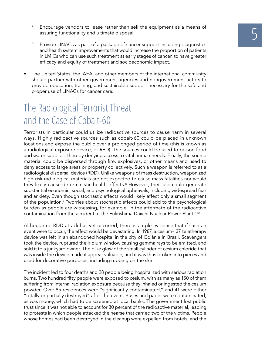- Encourage vendors to lease rather than sell the equipment as a means of assuring functionality and ultimate disposal.
- Provide LINACs as part of a package of cancer support including diagnostics and health system improvements that would increase the proportion of patients in LMICs who can use such treatment at early stages of cancer, to have greater efficacy and equity of treatment and socioeconomic impact.
- The United States, the IAEA, and other members of the international community should partner with other government agencies and nongovernment actors to provide education, training, and sustainable support necessary for the safe and proper use of LINACs for cancer care.

## The Radiological Terrorist Threat and the Case of Cobalt-60

Terrorists in particular could utilize radioactive sources to cause harm in several ways. Highly radioactive sources such as cobalt-60 could be placed in unknown locations and expose the public over a prolonged period of time (this is known as a radiological exposure device, or RED). The sources could be used to poison food and water supplies, thereby denying access to vital human needs. Finally, the source material could be dispersed through fire, explosives, or other means and used to deny access to large areas or property collectively. Such a weapon is referred to as a radiological dispersal device (RDD). Unlike weapons of mass destruction, weaponized high-risk radiological materials are not expected to cause mass fatalities nor would they likely cause deterministic health effects.<sup>8</sup> However, their use could generate substantial economic, social, and psychological upheavals, including widespread fear and anxiety. Even though stochastic effects would likely affect only a small segment of the population,<sup>9</sup> "worries about stochastic effects could add to the psychological burden as people are witnessing, for example, in the aftermath of the radioactive contamination from the accident at the Fukushima Daiichi Nuclear Power Plant."<sup>10</sup>

Although no RDD attack has yet occurred, there is ample evidence that if such an event were to occur, the effect would be devastating. In 1987, a cesium-137 teletherapy device was left in an abandoned hospital in the city of Goiânia in Brazil. Scavengers took the device, ruptured the iridium window causing gamma rays to be emitted, and sold it to a junkyard owner. The blue glow of the small cylinder of cesium chloride that was inside the device made it appear valuable, and it was thus broken into pieces and used for decorative purposes, including rubbing on the skin.

The incident led to four deaths and 28 people being hospitalized with serious radiation burns. Two hundred fifty people were exposed to cesium, with as many as 150 of them suffering from internal radiation exposure because they inhaled or ingested the cesium powder. Over 85 residences were "significantly contaminated," and 41 were either "totally or partially destroyed" after the event. Buses and paper were contaminated, as was money, which had to be screened at local banks. The government lost public trust since it was not able to account for 30 percent of the radioactive material, leading to protests in which people attacked the hearse that carried two of the victims. People whose homes had been destroyed in the cleanup were expelled from hotels, and the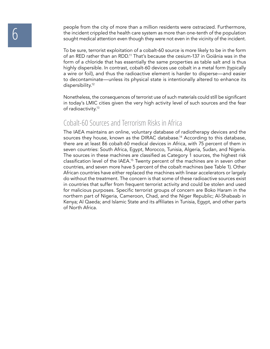people from the city of more than a million residents were ostracized. Furthermore,<br>the incident crippled the health care system as more than one-tenth of the population<br>sought medical attention even though they were not e the incident crippled the health care system as more than one-tenth of the population sought medical attention even though they were not even in the vicinity of the incident.

> To be sure, terrorist exploitation of a cobalt-60 source is more likely to be in the form of an RED rather than an RDD.11 That's because the cesium-137 in Goiânia was in the form of a chloride that has essentially the same properties as table salt and is thus highly dispersible. In contrast, cobalt-60 devices use cobalt in a metal form (typically a wire or foil), and thus the radioactive element is harder to disperse—and easier to decontaminate—unless its physical state is intentionally altered to enhance its dispersibility.<sup>12</sup>

> Nonetheless, the consequences of terrorist use of such materials could still be significant in today's LMIC cities given the very high activity level of such sources and the fear of radioactivity.13

### Cobalt-60 Sources and Terrorism Risks in Africa

The IAEA maintains an online, voluntary database of radiotherapy devices and the sources they house, known as the DIRAC database.<sup>14</sup> According to this database, there are at least 86 cobalt-60 medical devices in Africa, with 75 percent of them in seven countries: South Africa, Egypt, Morocco, Tunisia, Algeria, Sudan, and Nigeria. The sources in these machines are classified as Category 1 sources, the highest risk classification level of the IAEA.15 Twenty percent of the machines are in seven other countries, and seven more have 5 percent of the cobalt machines (see Table 1). Other African countries have either replaced the machines with linear accelerators or largely do without the treatment. The concern is that some of these radioactive sources exist in countries that suffer from frequent terrorist activity and could be stolen and used for malicious purposes. Specific terrorist groups of concern are Boko Haram in the northern part of Nigeria, Cameroon, Chad, and the Niger Republic; Al-Shabaab in Kenya; Al Qaeda; and Islamic State and its affiliates in Tunisia, Egypt, and other parts of North Africa.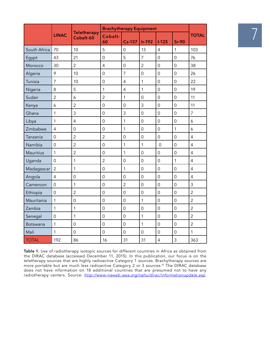|              |                |                                 | <b>Brachytherapy Equipment</b> |                     |                     |                     |                |                |
|--------------|----------------|---------------------------------|--------------------------------|---------------------|---------------------|---------------------|----------------|----------------|
|              | <b>LINAC</b>   | <b>Teletherapy</b><br>Cobalt-60 | Cobalt-<br>60                  | <b>Cs-137</b>       | <b>Ir-192</b>       | $1-125$             | $Sr-90$        | <b>TOTAL</b>   |
| South Africa | 70             | 10                              | 5                              | $\mathsf{O}\xspace$ | 13                  | $\overline{4}$      | $\mathbf{1}$   | 103            |
| Egypt        | 43             | 21                              | $\overline{O}$                 | 5                   | $\overline{7}$      | $\overline{0}$      | $\overline{0}$ | 76             |
| Morocco      | 30             | $\overline{2}$                  | $\overline{4}$                 | $\mathsf{O}$        | $\overline{2}$      | $\overline{0}$      | $\overline{0}$ | 38             |
| Algeria      | 9              | 10                              | $\overline{0}$                 | $\overline{7}$      | $\mathbf 0$         | $\mathsf{O}$        | $\overline{0}$ | 26             |
| Tunisia      | $\overline{7}$ | 10                              | $\overline{0}$                 | $\overline{4}$      | $\mathbf{1}$        | $\overline{0}$      | $\overline{0}$ | 22             |
| Nigeria      | 8              | 5                               | $\mathbf{1}$                   | $\overline{4}$      | $\mathbf{1}$        | $\overline{0}$      | $\mathbf 0$    | 19             |
| Sudan        | $\overline{2}$ | $\epsilon$                      | $\overline{2}$                 | $\mathbf{1}$        | $\overline{0}$      | $\mathbf 0$         | $\overline{0}$ | 11             |
| Kenya        | 6              | $\overline{2}$                  | $\mathbf 0$                    | $\mathsf{O}$        | $\overline{3}$      | $\mathbf 0$         | $\mathbf 0$    | 11             |
| Ghana        | 1              | 3                               | $\overline{0}$                 | $\mathfrak{Z}$      | $\overline{0}$      | $\mathsf{O}\xspace$ | $\overline{0}$ | $\overline{7}$ |
| Libya        | 1              | $\overline{4}$                  | $\overline{0}$                 | $\mathbf 1$         | $\overline{0}$      | $\overline{0}$      | $\mathbf 0$    | 6              |
| Zimbabwe     | $\overline{4}$ | $\overline{O}$                  | $\overline{0}$                 | $\mathbf{1}$        | $\overline{0}$      | $\overline{0}$      | $\mathbf{1}$   | 6              |
| Tanzania     | $\overline{0}$ | $\overline{2}$                  | $\overline{2}$                 | $\mathsf{O}\xspace$ | $\mathsf{O}\xspace$ | $\mathsf{O}\xspace$ | $\overline{0}$ | $\overline{4}$ |
| Namibia      | $\overline{0}$ | $\overline{2}$                  | $\overline{0}$                 | $\mathbf{1}$        | $\mathbf{1}$        | $\overline{0}$      | $\overline{0}$ | $\overline{4}$ |
| Mauritius    | $\mathbf{1}$   | $\overline{2}$                  | $\overline{0}$                 | $\mathbf 1$         | $\overline{0}$      | $\overline{0}$      | $\overline{O}$ | $\overline{4}$ |
| Uganda       | $\overline{0}$ | $\mathbf 1$                     | $\overline{2}$                 | $\mathsf{O}\xspace$ | $\overline{0}$      | $\mathsf{O}\xspace$ | $\mathbf{1}$   | $\overline{4}$ |
| Madagascar   | $\overline{2}$ | 1                               | $\overline{0}$                 | $\mathbf{1}$        | $\overline{O}$      | $\mathbf 0$         | $\overline{O}$ | $\overline{4}$ |
| Angola       | $\overline{4}$ | $\mathsf{O}$                    | $\overline{0}$                 | $\mathbf 0$         | $\overline{0}$      | $\mathbf 0$         | $\overline{O}$ | $\overline{4}$ |
| Cameroon     | $\overline{0}$ | 1                               | $\mathsf{O}$                   | $\overline{2}$      | $\overline{0}$      | $\mathbf 0$         | $\overline{0}$ | $\overline{3}$ |
| Ethiopia     | $\overline{0}$ | $\overline{c}$                  | $\overline{0}$                 | $\mathbf 0$         | $\overline{0}$      | $\overline{0}$      | $\overline{O}$ | $\overline{2}$ |
| Mauritania   | $\mathbf{1}$   | $\mathsf{O}$                    | $\overline{0}$                 | $\mathsf{O}\xspace$ | $\mathbf{1}$        | $\mathbf 0$         | $\overline{O}$ | $\overline{2}$ |
| Zambia       | $\mathbf{1}$   | 1                               | $\mathbf 0$                    | $\mathsf{O}$        | $\overline{0}$      | $\mathbf 0$         | $\mathbf 0$    | $\overline{2}$ |
| Senegal      | $\overline{O}$ | 1                               | $\overline{O}$                 | $\mathbf 0$         | $\mathbf{1}$        | $\overline{0}$      | $\overline{O}$ | $\overline{2}$ |
| Botswana     | $\mathbf{1}$   | $\mathsf{O}$                    | $\overline{O}$                 | $\mathbf 0$         | $\mathbf{1}$        | $\mathbf 0$         | $\overline{O}$ | $\overline{2}$ |
| Mali         | $\mathbf{1}$   | $\overline{O}$                  | $\mathbf 0$                    | $\mathsf{O}$        | $\mathsf{O}\xspace$ | $\mathbf 0$         | $\mathsf{O}$   | $\mathbf{1}$   |
| <b>TOTAL</b> | 192            | 86                              | 16                             | 31                  | 31                  | $\overline{4}$      | $\overline{3}$ | 363            |

**Table 1.** Use of radiotherapy isotopic sources for different countries in Africa as obtained from the DIRAC database (accessed December 11, 2015). In this publication, our focus is on the teletherapy sources that are highly radioactive Category 1 sources. Brachytherapy sources are more portable but are much less radioactive Category 2 or 3 sources.16 The DIRAC database does not have information on 18 additional countries that are presumed not to have any radiotherapy centers. Source: *http://www-naweb.iaea.org/nahu/dirac/informationupdate.asp*.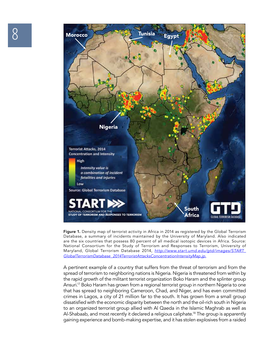

**Figure 1.** Density map of terrorist activity in Africa in 2014 as registered by the Global Terrorism Database, a summary of incidents maintained by the University of Maryland. Also indicated are the six countries that possess 80 percent of all medical isotopic devices in Africa. Source: National Consortium for the Study of Terrorism and Responses to Terrorism, University of Maryland, Global Terrorism Database 2014, *http://www.start.umd.edu/gtd/images/START\_ GlobalTerrorismDatabase\_2014TerroristAttacksConcentrationIntensityMap.jp.*

A pertinent example of a country that suffers from the threat of terrorism and from the spread of terrorism to neighboring nations is Nigeria. Nigeria is threatened from within by the rapid growth of the militant terrorist organization Boko Haram and the splinter group Ansuri.<sup>17</sup> Boko Haram has grown from a regional terrorist group in northern Nigeria to one that has spread to neighboring Cameroon, Chad, and Niger, and has even committed crimes in Lagos, a city of 21 million far to the south. It has grown from a small group dissatisfied with the economic disparity between the north and the oil-rich south in Nigeria to an organized terrorist group allied with Al Qaeda in the Islamic Maghrab as well as Al-Shabaab, and most recently it declared a religious caliphate.<sup>18</sup> The group is apparently gaining experience and bomb-making expertise, and it has stolen explosives from a raided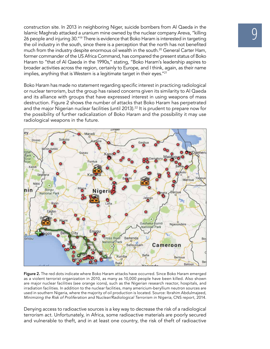construction site. In 2013 in neighboring Niger, suicide bombers from Al Qaeda in the<br>Islamic Maghrab attacked a uranium mine owned by the nuclear company Areva, "killing<br>26 people and injuring 30."<sup>19</sup> There is evidence t Islamic Maghrab attacked a uranium mine owned by the nuclear company Areva, "killing the oil industry in the south, since there is a perception that the north has not benefited much from the industry despite enormous oil wealth in the south.<sup>20</sup> General Carter Ham, former commander of the US Africa Command, has compared the present status of Boko Haram to "that of Al Qaeda in the 1990s," stating, "Boko Haram's leadership aspires to broader activities across the region, certainly to Europe, and I think, again, as their name implies, anything that is Western is a legitimate target in their eyes."21

Boko Haram has made no statement regarding specific interest in practicing radiological or nuclear terrorism, but the group has raised concerns given its similarity to Al Qaeda and its alliance with groups that have expressed interest in using weapons of mass destruction. Figure 2 shows the number of attacks that Boko Haram has perpetrated and the major Nigerian nuclear facilities (until 2013).<sup>22</sup> It is prudent to prepare now for the possibility of further radicalization of Boko Haram and the possibility it may use radiological weapons in the future.



**Figure 2.** The red dots indicate where Boko Haram attacks have occurred. Since Boko Haram emerged as a violent terrorist organization in 2010, as many as 10,000 people have been killed. Also shown are major nuclear facilities (see orange icons), such as the Nigerian research reactor, hospitals, and irradiation facilities. In addition to the nuclear facilities, many americium-beryllium neutron sources are used in southern Nigeria, where the majority of oil production is located. Source: Ibrahim Abdulmajeed, *Minimizing the Risk of Proliferation and Nuclear/Radiological Terrorism in Nigeria*, CNS report, 2014.

Denying access to radioactive sources is a key way to decrease the risk of a radiological terrorism act. Unfortunately, in Africa, some radioactive materials are poorly secured and vulnerable to theft, and in at least one country, the risk of theft of radioactive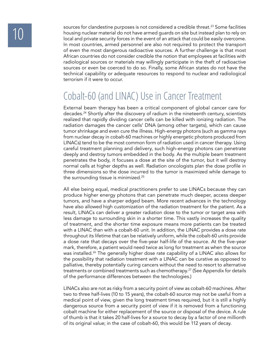sources for clandestine purposes is not considered a credible threat.<sup>23</sup> Some facilities<br>housing nuclear material do not have armed guards on site but instead plan to rely on<br>local and private security forces in the event housing nuclear material do not have armed guards on site but instead plan to rely on local and private security forces in the event of an attack that could be easily overcome. In most countries, armed personnel are also not required to protect the transport of even the most dangerous radioactive sources. A further challenge is that most African countries do not consider credible the notion that employees at facilities with radiological sources or materials may willingly participate in the theft of radioactive sources or even be coerced to do so. Finally, some African states do not have the technical capability or adequate resources to respond to nuclear and radiological terrorism if it were to occur.

## Cobalt-60 (and LINAC) Use in Cancer Treatment

External beam therapy has been a critical component of global cancer care for decades.24 Shortly after the discovery of radium in the nineteenth century, scientists realized that rapidly dividing cancer cells can be killed with ionizing radiation. The radiation damages the cancer cells' DNA (among other targets), which can cause tumor shrinkage and even cure the illness. High-energy photons (such as gamma rays from nuclear decay in cobalt-60 machines or highly energetic photons produced from LINACs) tend to be the most common form of radiation used in cancer therapy. Using careful treatment planning and delivery, such high-energy photons can penetrate deeply and destroy tumors embedded in the body. As the multiple beam treatment penetrates the body, it focuses a dose at the site of the tumor, but it will destroy normal cells at higher depths as well. Radiation oncologists plan the dose profile in three dimensions so the dose incurred to the tumor is maximized while damage to the surrounding tissue is minimized.25

All else being equal, medical practitioners prefer to use LINACs because they can produce higher energy photons that can penetrate much deeper, access deeper tumors, and have a sharper edged beam. More recent advances in the technology have also allowed high customization of the radiation treatment for the patient. As a result, LINACs can deliver a greater radiation dose to the tumor or target area with less damage to surrounding skin in a shorter time. This vastly increases the quality of treatment, and the shorter time exposure means more patients can be treated with a LINAC than with a cobalt-60 unit. In addition, the LINAC provides a dose rate throughout its lifetime that can be relatively uniform, while the cobalt-60 units provide a dose rate that decays over the five-year half-life of the source. At the five-year mark, therefore, a patient would need twice as long for treatment as when the source was installed.<sup>26</sup> The generally higher dose rate capability of a LINAC also allows for the possibility that radiation treatment with a LINAC can be curative as opposed to palliative, thereby potentially curing cancers without the need to resort to alternative treatments or combined treatments such as chemotherapy.<sup>27</sup> (See Appendix for details of the performance differences between the technologies.)

LINACs also are not as risky from a security point of view as cobalt-60 machines. After two to three half-lives (10 to 15 years), the cobalt-60 source may not be useful from a medical point of view, given the long treatment times required, but it is still a highly dangerous source from a security point of view if it is removed from a functioning cobalt machine for either replacement of the source or disposal of the device. A rule of thumb is that it takes 20 half-lives for a source to decay by a factor of one millionth of its original value; in the case of cobalt-60, this would be 112 years of decay.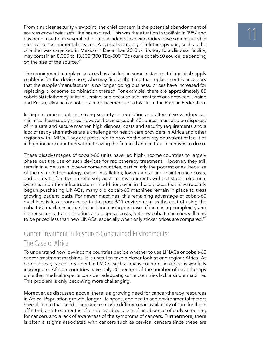From a nuclear security viewpoint, the chief concern is the potential abandonment of<br>sources once their useful life has expired. This was the situation in Goiânia in 1987 and<br>has been a factor in several other fatal incide sources once their useful life has expired. This was the situation in Goiânia in 1987 and medical or experimental devices. A typical Category 1 teletherapy unit, such as the one that was carjacked in Mexico in December 2013 on its way to a disposal facility, may contain an 8,000 to 13,500 (300 TBq-500 TBq) curie cobalt-60 source, depending on the size of the source.<sup>28</sup>

The requirement to replace sources has also led, in some instances, to logistical supply problems for the device user, who may find at the time that replacement is necessary that the supplier/manufacturer is no longer doing business, prices have increased for replacing it, or some combination thereof. For example, there are approximately 85 cobalt-60 teletherapy units in Ukraine, and because of current tensions between Ukraine and Russia, Ukraine cannot obtain replacement cobalt-60 from the Russian Federation.

In high-income countries, strong security or regulation and alternative vendors can minimize these supply risks. However, because cobalt-60 sources must also be disposed of in a safe and secure manner, high disposal costs and security requirements and a lack of ready alternatives are a challenge for health care providers in Africa and other regions with LMICs. They are pressured to provide the security equivalent of facilities in high-income countries without having the financial and cultural incentives to do so.

These disadvantages of cobalt-60 units have led high-income countries to largely phase out the use of such devices for radiotherapy treatment. However, they still remain in wide use in lower-income countries, particularly the poorest ones, because of their simple technology, easier installation, lower capital and maintenance costs, and ability to function in relatively austere environments without stable electrical systems and other infrastructure. In addition, even in those places that have recently begun purchasing LINACs, many old cobalt-60 machines remain in place to treat growing patient loads. For newer machines, this remaining advantage of cobalt-60 machines is less pronounced in the post-9/11 environment as the cost of using the cobalt-60 machines in particular is increasing because of increasing complexity and higher security, transportation, and disposal costs, but new cobalt machines still tend to be priced less than new LINACs, especially when only sticker prices are compared.<sup>29</sup>

### Cancer Treatment in Resource-Constrained Environments: The Case of Africa

To understand how low-income countries decide whether to use LINACs or cobalt-60 cancer-treatment machines, it is useful to take a closer look at one region: Africa. As noted above, cancer treatment in LMICs, such as many countries in Africa, is woefully inadequate. African countries have only 20 percent of the number of radiotherapy units that medical experts consider adequate; some countries lack a single machine. This problem is only becoming more challenging.

Moreover, as discussed above, there is a growing need for cancer-therapy resources in Africa. Population growth, longer life spans, and health and environmental factors have all led to that need. There are also large differences in availability of care for those affected, and treatment is often delayed because of an absence of early screening for cancers and a lack of awareness of the symptoms of cancers. Furthermore, there is often a stigma associated with cancers such as cervical cancers since these are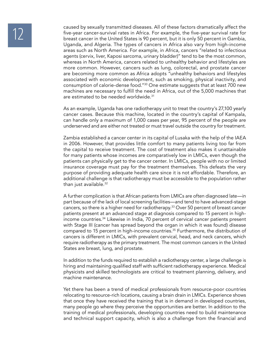caused by sexually transmitted diseases. All of these factors dramatically affect the<br>five-year cancer-survival rates in Africa. For example, the five-year survival rate for<br>breast cancer in the United States is 90 percent five-year cancer-survival rates in Africa. For example, the five-year survival rate for Uganda, and Algeria. The types of cancers in Africa also vary from high-income areas such as North America. For example, in Africa, cancers "related to infectious agents (cervix, liver, Kaposi sarcoma, urinary bladder)" tend to be the most common, whereas in North America, cancers related to unhealthy behavior and lifestyles are more common. However, cancers such as lung, colorectal, and prostate cancer are becoming more common as Africa adopts "unhealthy behaviors and lifestyles associated with economic development, such as smoking, physical inactivity, and consumption of calorie-dense food."30 One estimate suggests that at least 700 new machines are necessary to fulfill the need in Africa, out of the 5,000 machines that are estimated to be needed worldwide.<sup>31</sup>

> As an example, Uganda has one radiotherapy unit to treat the country's 27,100 yearly cancer cases. Because this machine, located in the country's capital of Kampala, can handle only a maximum of 1,000 cases per year, 95 percent of the people are underserved and are either not treated or must travel outside the country for treatment.

> Zambia established a cancer center in its capital of Lusaka with the help of the IAEA in 2006. However, that provides little comfort to many patients living too far from the capital to receive treatment. The cost of treatment also makes it unattainable for many patients whose incomes are comparatively low in LMICs, even though the patients can physically get to the cancer center. In LMICs, people with no or limited insurance coverage must pay for the treatment themselves. This defeats the very purpose of providing adequate health care since it is not affordable. Therefore, an additional challenge is that radiotherapy must be accessible to the population rather than just available.32

> A further complication is that African patients from LMICs are often diagnosed late—in part because of the lack of local screening facilities—and tend to have advanced-stage cancers, so there is a higher need for radiotherapy.<sup>33</sup> Over 50 percent of breast cancer patients present at an advanced stage at diagnosis compared to 15 percent in highincome countries.34 Likewise in India, 70 percent of cervical cancer patients present with Stage III (cancer has spread beyond the organ in which it was found) disease compared to 15 percent in high-income countries.35 Furthermore, the distribution of cancers is different in LMICs, with prevalent cervical, head, and neck cancers, which require radiotherapy as the primary treatment. The most common cancers in the United States are breast, lung, and prostate.

> In addition to the funds required to establish a radiotherapy center, a large challenge is hiring and maintaining qualified staff with sufficient radiotherapy experience. Medical physicists and skilled technologists are critical to treatment planning, delivery, and machine maintenance.

> Yet there has been a trend of medical professionals from resource-poor countries relocating to resource-rich locations, causing a brain drain in LMICs. Experience shows that once they have received the training that is in demand in developed countries, many people go where they perceive the opportunities are better. In addition to the training of medical professionals, developing countries need to build maintenance and technical support capacity, which is also a challenge from the financial and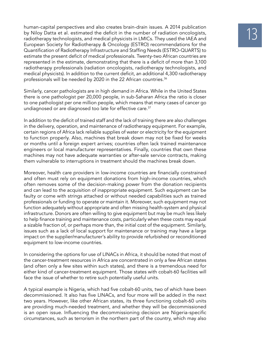human-capital perspectives and also creates brain-drain issues. A 2014 publication<br>by Niloy Datta et al. estimated the deficit in the number of radiation oncologists,<br>radiotherapy technologists, and medical physicists in L by Niloy Datta et al. estimated the deficit in the number of radiation oncologists, European Society for Radiotherapy & Oncology (ESTRO) recommendations for the Quantification of Radiotherapy Infrastructure and Staffing Needs (ESTRO-QUARTS) to estimate the present deficit of medical professionals. Twenty-two African countries are represented in the estimate, demonstrating that there is a deficit of more than 3,100 radiotherapy professionals (radiation oncologists, radiotherapy technologists, and medical physicists). In addition to the current deficit, an additional 4,300 radiotherapy professionals will be needed by 2020 in the 22 African countries.<sup>36</sup>

Similarly, cancer pathologists are in high demand in Africa. While in the United States there is one pathologist per 20,000 people, in sub-Saharan Africa the ratio is closer to one pathologist per one million people, which means that many cases of cancer go undiagnosed or are diagnosed too late for effective care.<sup>37</sup>

In addition to the deficit of trained staff and the lack of training there are also challenges in the delivery, operation, and maintenance of radiotherapy equipment. For example, certain regions of Africa lack reliable supplies of water or electricity for the equipment to function properly. Also, machines that break down may not be fixed for weeks or months until a foreign expert arrives; countries often lack trained maintenance engineers or local manufacturer representatives. Finally, countries that own these machines may not have adequate warranties or after-sale service contracts, making them vulnerable to interruptions in treatment should the machines break down.

Moreover, health care providers in low-income countries are financially constrained and often must rely on equipment donations from high-income countries, which often removes some of the decision-making power from the donation recipients and can lead to the acquisition of inappropriate equipment. Such equipment can be faulty or come with strings attached or without needed capabilities such as trained professionals or funding to operate or maintain it. Moreover, such equipment may not function adequately without appropriate and often missing health-system and physical infrastructure. Donors are often willing to give equipment but may be much less likely to help finance training and maintenance costs, particularly when these costs may equal a sizable fraction of, or perhaps more than, the initial cost of the equipment. Similarly, issues such as a lack of local support for maintenance or training may have a large impact on the supplier/manufacturer's ability to provide refurbished or reconditioned equipment to low-income countries.

In considering the options for use of LINACs in Africa, it should be noted that most of the cancer-treatment resources in Africa are concentrated in only a few African states (and often only a few sites within such states), and there is a tremendous need for either kind of cancer-treatment equipment. Those states with cobalt-60 facilities will face the issue of whether to retire such potentially useful units.

A typical example is Nigeria, which had five cobalt-60 units, two of which have been decommissioned. It also has five LINACs, and four more will be added in the next two years. However, like other African states, its three functioning cobalt-60 units are providing much-needed treatment, and whether they will be decommissioned is an open issue. Influencing the decommissioning decision are Nigeria-specific circumstances, such as terrorism in the northern part of the country, which may also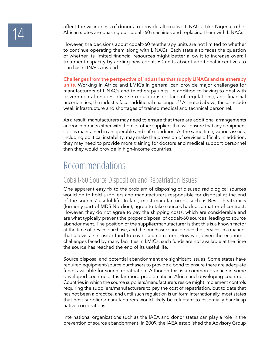affect the willingness of donors to provide alternative LINACs. Like Nigeria, other<br>African states are phasing out cobalt-60 machines and replacing them with LINACs. African states are phasing out cobalt-60 machines and replacing them with LINACs.

> However, the decisions about cobalt-60 teletherapy units are not limited to whether to continue operating them along with LINACs. Each state also faces the question of whether its limited financial resources might better allow it to increase overall treatment capacity by adding new cobalt-60 units absent additional incentives to purchase LINACs instead.

> **Challenges from the perspective of industries that supply LINACs and teletherapy units.** Working in Africa and LMICs in general can provide major challenges for manufacturers of LINACs and teletherapy units. In addition to having to deal with governmental entities, diverse regulations (or lack of regulations), and financial uncertainties, the industry faces additional challenges. $38$  As noted above, these include weak infrastructure and shortages of trained medical and technical personnel.

> As a result, manufacturers may need to ensure that there are additional arrangements and/or contracts either with them or other suppliers that will ensure that any equipment sold is maintained in an operable and safe condition. At the same time, various issues, including political instability, may make the provision of services difficult. In addition, they may need to provide more training for doctors and medical support personnel than they would provide in high-income countries.

### Recommendations

### Cobalt-60 Source Disposition and Repatriation Issues

One apparent easy fix to the problem of disposing of disused radiological sources would be to hold suppliers and manufacturers responsible for disposal at the end of the sources' useful life. In fact, most manufacturers, such as Best Theatronics (formerly part of MDS Nordion), agree to take sources back as a matter of contract. However, they do not agree to pay the shipping costs, which are considerable and are what typically prevent the proper disposal of cobalt-60 sources, leading to source abandonment. The position of the supplier/manufacturer is that this is a known factor at the time of device purchase, and the purchaser should price the services in a manner that allows a set-aside fund to cover source return. However, given the economic challenges faced by many facilities in LMICs, such funds are not available at the time the source has reached the end of its useful life.

Source disposal and potential abandonment are significant issues. Some states have required equipment/source purchasers to provide a bond to ensure there are adequate funds available for source repatriation. Although this is a common practice in some developed countries, it is far more problematic in Africa and developing countries. Countries in which the source suppliers/manufacturers reside might implement controls requiring the suppliers/manufacturers to pay the cost of repatriation, but to date that has not been a practice, and until such regulation is uniform internationally, most states that host suppliers/manufacturers would likely be reluctant to essentially handicap native corporations.

International organizations such as the IAEA and donor states can play a role in the prevention of source abandonment. In 2009, the IAEA established the Advisory Group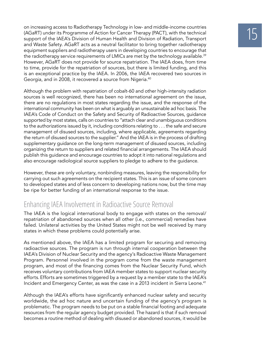on increasing access to Radiotherapy Technology in low- and middle-income countries<br>(AGaRT) under its Programme of Action for Cancer Therapy (PACT), with the technical<br>support of the IAEA's Division of Human Health and Div (AGaRT) under its Programme of Action for Cancer Therapy (PACT), with the technical and Waste Safety. AGaRT acts as a neutral facilitator to bring together radiotherapy equipment suppliers and radiotherapy users in developing countries to encourage that the radiotherapy service requirements of LMICs are met by the technology available.<sup>39</sup> However, AGaRT does not provide for source repatriation. The IAEA does, from time to time, provide for the repatriation of sources, but there is limited funding, and this is an exceptional practice by the IAEA. In 2006, the IAEA recovered two sources in Georgia, and in 2008, it recovered a source from Nigeria.<sup>40</sup>

Although the problem with repatriation of cobalt-60 and other high-intensity radiation sources is well recognized, there has been no international agreement on the issue, there are no regulations in most states regarding the issue, and the response of the international community has been on what is arguably an unsustainable ad hoc basis. The IAEA's Code of Conduct on the Safety and Security of Radioactive Sources, guidance supported by most states, calls on countries to "attach clear and unambiguous conditions to the authorizations issued by it, including conditions relating to . . . the safe and secure management of disused sources, including, where applicable, agreements regarding the return of disused sources to the supplier." And the IAEA is in the process of drafting supplementary guidance on the long-term management of disused sources, including organizing the return to suppliers and related financial arrangements. The IAEA should publish this guidance and encourage countries to adopt it into national regulations and also encourage radiological source suppliers to pledge to adhere to the guidance.

However, these are only voluntary, nonbinding measures, leaving the responsibility for carrying out such agreements on the recipient states. This is an issue of some concern to developed states and of less concern to developing nations now, but the time may be ripe for better funding of an international response to the issue.

### Enhancing IAEA Involvement in Radioactive Source Removal

The IAEA is the logical international body to engage with states on the removal/ repatriation of abandoned sources when all other (i.e., commercial) remedies have failed. Unilateral activities by the United States might not be well received by many states in which these problems could potentially arise.

As mentioned above, the IAEA has a limited program for securing and removing radioactive sources. The program is run through internal cooperation between the IAEA's Division of Nuclear Security and the agency's Radioactive Waste Management Program. Personnel involved in the program come from the waste management program, and most of the financing comes from the Nuclear Security Fund, which receives voluntary contributions from IAEA member states to support nuclear security efforts.Efforts are sometimes triggered by a request by a member state to the IAEA's Incident and Emergency Center, as was the case in a 2013 incident in Sierra Leone.<sup>41</sup>

Although the IAEA's efforts have significantly enhanced nuclear safety and security worldwide, the ad hoc nature and uncertain funding of the agency's program is problematic. The program needs to be put on a stable financial footing and adequate resources from the regular agency budget provided. The hazard is that if such removal becomes a routine method of dealing with disused or abandoned sources, it would be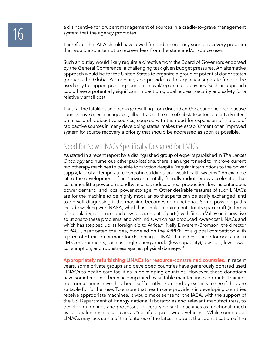a disincentive for prudent management of sources in a cradle-to-grave management<br>
system that the agency promotes. system that the agency promotes.

> Therefore, the IAEA should have a well-funded emergency source-recovery program that would also attempt to recover fees from the state and/or source user.

> Such an outlay would likely require a directive from the Board of Governors endorsed by the General Conference, a challenging task given budget pressures. An alternative approach would be for the United States to organize a group of potential donor states (perhaps the Global Partnership) and provide to the agency a separate fund to be used only to support pressing source-removal/repatriation activities. Such an approach could have a potentially significant impact on global nuclear security and safety for a relatively small cost.

> Thus far the fatalities and damage resulting from disused and/or abandoned radioactive sources have been manageable, albeit tragic. The rise of substate actors potentially intent on misuse of radioactive sources, coupled with the need for expansion of the use of radioactive sources in many developing states, makes the establishment of an improved system for source recovery a priority that should be addressed as soon as possible.

### Need for New LINACs Specifically Designed for LMICs

As stated in a recent report by a distinguished group of experts published in *The Lancet Oncology* and numerous other publications, there is an urgent need to improve current radiotherapy machines to be able to function despite "regular interruptions to the power supply, lack of air temperature control in buildings, and weak health systems." An example cited the development of an "environmentally friendly radiotherapy accelerator that consumes little power on standby and has reduced heat production, low instantaneous power demand, and local power storage."42 Other desirable features of such LINACs are for the machine to be highly modular, so that parts can be easily exchanged, and to be self-diagnosing if the machine becomes nonfunctional. Some possible paths include working with NASA, which has similar requirements for its spacecraft (in terms of modularity, resilience, and easy replacement of parts); with Silicon Valley on innovative solutions to these problems; and with India, which has produced lower-cost LINACs and which has stepped up its foreign aid to Africa.<sup>43</sup> Nelly Enwerem-Bromson, the director of PACT, has floated the idea, modeled on the XPRIZE, of a global competition with a prize of \$1 million or more for designing a LINAC that is best suited for operating in LMIC environments, such as single-energy mode (less capability), low cost, low power consumption, and robustness against physical damage.44

**Appropriately refurbishing LINACs for resource-constrained countries.** In recent years, some private groups and developed countries have generously donated used LINACs to health care facilities in developing countries. However, these donations have sometimes not been accompanied by suitable maintenance contracts, training, etc., nor at times have they been sufficiently examined by experts to see if they are suitable for further use. To ensure that health care providers in developing countries receive appropriate machines, it would make sense for the IAEA, with the support of the US Department of Energy national laboratories and relevant manufacturers, to develop guidelines and processes for certifying such machines as functional, much as car dealers resell used cars as "certified, pre-owned vehicles." While some older LINACs may lack some of the features of the latest models, the sophistication of the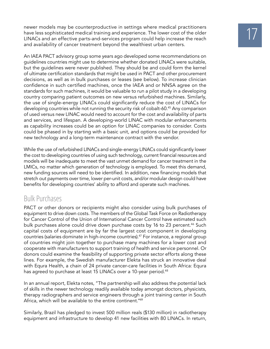newer models may be counterproductive in settings where medical practitioners<br>have less sophisticated medical training and experience. The lower cost of the older<br>LINACs and an effective parts-and-services program could he have less sophisticated medical training and experience. The lower cost of the older and availability of cancer treatment beyond the wealthiest urban centers.

An IAEA PACT advisory group some years ago developed some recommendations on guidelines countries might use to determine whether donated LINACs were suitable, but the guidelines were never published. They should be and could form the kernel of ultimate certification standards that might be used in PACT and other procurement decisions, as well as in bulk purchases or leases (see below). To increase clinician confidence in such certified machines, once the IAEA and or NNSA agree on the standards for such machines, it would be valuable to run a pilot study in a developing country comparing patient outcomes on new versus refurbished machines. Similarly, the use of single-energy LINACs could significantly reduce the cost of LINACs for developing countries while not running the security risk of cobalt-60.45 Any comparison of used versus new LINAC would need to account for the cost and availability of parts and services, and lifespan. A developing-world LINAC with modular enhancements as capability increases could be an option for LINAC companies to consider. Costs could be phased in by starting with a basic unit, and options could be provided for new technology and a long-term maintenance contract with the vendor.

While the use of refurbished LINACs and single-energy LINACs could significantly lower the cost to developing countries of using such technology, current financial resources and models will be inadequate to meet the vast unmet demand for cancer treatment in the LMICs, no matter which generation of technology is employed. To meet this demand, new funding sources will need to be identified. In addition, new financing models that stretch out payments over time, lower per-unit costs, and/or modular design could have benefits for developing countries' ability to afford and operate such machines.

### Bulk Purchases

PACT or other donors or recipients might also consider using bulk purchases of equipment to drive down costs. The members of the Global Task Force on Radiotherapy for Cancer Control of the Union of International Cancer Control have estimated such bulk purchases alone could drive down purchase costs by 16 to 23 percent.<sup>46</sup> Such capital costs of equipment are by far the largest cost component in developing countries (salaries dominate in high-income countries).<sup>47</sup> For instance, a regional group of countries might join together to purchase many machines for a lower cost and cooperate with manufacturers to support training of health and service personnel. Or donors could examine the feasibility of supporting private sector efforts along these lines. For example, the Swedish manufacturer Elekta has struck an innovative deal with Equra Health, a chain of 24 private cancer-care facilities in South Africa: Equra has agreed to purchase at least 15 LINACs over a 10-year period.<sup>48</sup>

In an annual report, Elekta notes, "The partnership will also address the potential lack of skills in the newer technology readily available today amongst doctors, physicists, therapy radiographers and service engineers through a joint training center in South Africa, which will be available to the entire continent."49

Similarly, Brazil has pledged to invest 500 million reals (\$130 million) in radiotherapy equipment and infrastructure to develop 41 new facilities with 80 LINACs. In return,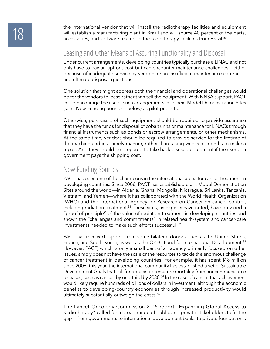the international vendor that will install the radiotherapy facilities and equipment<br>will establish a manufacturing plant in Brazil and will source 40 percent of the parts,<br>accessories, and software related to the radiothe will establish a manufacturing plant in Brazil and will source 40 percent of the parts, accessories, and software related to the radiotherapy facilities from Brazil.<sup>50</sup>

### Leasing and Other Means of Assuring Functionality and Disposal

Under current arrangements, developing countries typically purchase a LINAC and not only have to pay an upfront cost but can encounter maintenance challenges—either because of inadequate service by vendors or an insufficient maintenance contract and ultimate disposal questions.

One solution that might address both the financial and operational challenges would be for the vendors to lease rather than sell the equipment. With NNSA support, PACT could encourage the use of such arrangements in its next Model Demonstration Sites (see "New Funding Sources" below) as pilot projects.

Otherwise, purchasers of such equipment should be required to provide assurance that they have the funds for disposal of cobalt units or maintenance for LINACs through financial instruments such as bonds or escrow arrangements, or other mechanisms. At the same time, vendors should be required to provide service for the lifetime of the machine and in a timely manner, rather than taking weeks or months to make a repair. And they should be prepared to take back disused equipment if the user or a government pays the shipping cost.

#### New Funding Sources

PACT has been one of the champions in the international arena for cancer treatment in developing countries. Since 2006, PACT has established eight Model Demonstration Sites around the world—in Albania, Ghana, Mongolia, Nicaragua, Sri Lanka, Tanzania, Vietnam, and Yemen—where it has collaborated with the World Health Organization (WHO) and the International Agency for Research on Cancer on cancer control, including radiation treatment.<sup>51</sup> These sites, as experts have noted, have provided a "proof of principle" of the value of radiation treatment in developing countries and shown the "challenges and commitments" in related health-system and cancer-care investments needed to make such efforts successful.52

PACT has received support from some bilateral donors, such as the United States, France, and South Korea, as well as the OPEC Fund for International Development.<sup>53</sup> However, PACT, which is only a small part of an agency primarily focused on other issues, simply does not have the scale or the resources to tackle the enormous challenge of cancer treatment in developing countries. For example, it has spent \$18 million since 2006; this year, the international community has established a set of Sustainable Development Goals that call for reducing premature mortality from noncommunicable diseases, such as cancer, by one-third by 2030.54 In the case of cancer, that achievement would likely require hundreds of billions of dollars in investment, although the economic benefits to developing-country economies through increased productivity would ultimately substantially outweigh the costs.<sup>55</sup>

The Lancet Oncology Commission 2015 report "Expanding Global Access to Radiotherapy" called for a broad range of public and private stakeholders to fill the gap—from governments to international development banks to private foundations,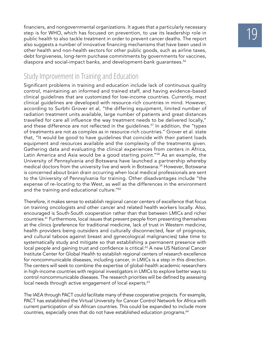financiers, and nongovernmental organizations. It agues that a particularly necessary<br>step is for WHO, which has focused on prevention, to use its leadership role in<br>public health to also tackle treatment in order to preve step is for WHO, which has focused on prevention, to use its leadership role in also suggests a number of innovative financing mechanisms that have been used in other health and non-health sectors for other public goods, such as airline taxes, debt forgiveness, long-term purchase commitments by governments for vaccines, diaspora and social-impact banks, and development-bank quarantees.<sup>56</sup>

### Study Improvement in Training and Education

Significant problems in training and education include lack of continuous quality control, maintaining an informed and trained staff, and having evidence-based clinical guidelines that are customized for low-income countries. Currently, most clinical guidelines are developed with resource-rich countries in mind. However, according to Surbhi Grover et al, "the differing equipment, limited number of radiation treatment units available, large number of patients and great distances travelled for care all influence the way treatment needs to be delivered locally," and these difference are not reflected in the guidelines.<sup>57</sup> In addition, the "types of treatments are not as complex as in resource-rich countries." Grover et al. state that, "It would be good to have guidelines that coincide with their patient loads equipment and resources available and the complexity of the treatments given. Gathering data and evaluating the clinical experiences from centers in Africa, Latin America and Asia would be a good starting point."<sup>58</sup> As an example, the University of Pennsylvania and Botswana have launched a partnership whereby medical doctors from the university live and work in Botswana.<sup>59</sup> However, Botswana is concerned about brain drain occurring when local medical professionals are sent to the University of Pennsylvania for training. Other disadvantages include "the expense of re-locating to the West, as well as the differences in the environment and the training and educational culture."<sup>60</sup>

Therefore, it makes sense to establish regional cancer centers of excellence that focus on training oncologists and other cancer and related health workers locally. Also, encouraged is South-South cooperation rather than that between LMICs and richer countries.61 Furthermore, local issues that prevent people from presenting themselves at the clinics (preference for traditional medicine, lack of trust in Western medicine, health providers being outsiders and culturally disconnected, fear of prognosis, and cultural taboos against breast and gynecological malignancies) take time to systematically study and mitigate so that establishing a permanent presence with local people and gaining trust and confidence is critical. $62$  A new US National Cancer Institute Center for Global Health to establish regional centers of research excellence for noncommunicable diseases, including cancer, in LMICs is a step in this direction. The centers will seek to combine the expertise of global-health academic researchers in high-income countries with regional investigators in LMICs to explore better ways to control noncommunicable diseases. The research priorities will be defined by assessing local needs through active engagement of local experts.<sup>63</sup>

The IAEA through PACT could facilitate many of these cooperative projects. For example, PACT has established the Virtual University for Cancer Control Network for Africa with current participation of six African countries. This could be expanded to include more countries, especially ones that do not have established education programs.<sup>64</sup>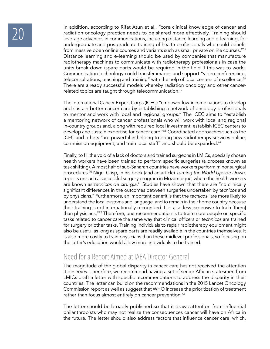In addition, according to Rifat Atun et al., "core clinical knowledge of cancer and<br>radiation oncology practice needs to be shared more effectively. Training should<br>leverage advances in communications, including distance l radiation oncology practice needs to be shared more effectively. Training should undergraduate and postgraduate training of health professionals who could benefit from massive open online courses and variants such as small private online courses."65 Distance learning and e-learning should be used by companies that manufacture radiotherapy machines to communicate with radiotherapy professionals in case the units break down (spare parts would be required in the field if this was to work). Communication technology could transfer images and support "video conferencing, teleconsultations, teaching and training" with the help of local centers of excellence.<sup>66</sup> There are already successful models whereby radiation oncology and other cancerrelated topics are taught through telecommunication.<sup>67</sup>

> The International Cancer Expert Corps (ICEC) "empower low-income nations to develop and sustain better cancer care by establishing a network of oncology professionals to mentor and work with local and regional groups." The ICEC aims to "establish a mentoring network of cancer professionals who will work with local and regional in-country groups and, along with required local investment, establish ICEC centers to develop and sustain expertise for cancer care."<sup>68</sup> Coordinated approaches such as the ICEC and others "are powerful in helping to bring new radiotherapy services online, commission equipment, and train local staff" and should be expanded.<sup>69</sup>

> Finally, to fill the void of a lack of doctors and trained surgeons in LMICs, specially chosen health workers have been trained to perform specific surgeries (a process known as task shifting). Almost half of sub-Saharan countries have workers perform minor surgical procedures.70 Nigel Crisp, in his book (and an article) *Turning the World Upside Down,* reports on such a successful surgery program in Mozambique, where the health workers are known as *tecnicos de cirurgia*. 71 Studies have shown that there are "no clinically significant differences in the outcomes between surgeries undertaken by *tecnicos* and by physicians." Furthermore, an important benefit is that the *tecnicos* "are more likely to understand the local customs and language, and to remain in their home country because their training is not internationally recognized. It is also less expensive to train [them] than physicians."72 Therefore, one recommendation is to train more people on specific tasks related to cancer care the same way that clinical officers or *technicos* are trained for surgery or other tasks. Training individuals to repair radiotherapy equipment might also be useful as long as spare parts are readily available in the countries themselves. It is also more costly to train physicians than these midlevel professionals, so focusing on the latter's education would allow more individuals to be trained.

### Need for a Report Aimed at IAEA Director General

The magnitude of the global disparity in cancer care has not received the attention it deserves. Therefore, we recommend having a set of senior African statesmen from LMICs draft a letter with specific recommendations to address the disparity in their countries. The letter can build on the recommendations in the 2015 Lancet Oncology Commission report as well as suggest that WHO increase the prioritization of treatment rather than focus almost entirely on cancer prevention.<sup>73</sup>

The letter should be broadly published so that it draws attention from influential philanthropists who may not realize the consequences cancer will have on Africa in the future. The letter should also address factors that influence cancer care, which,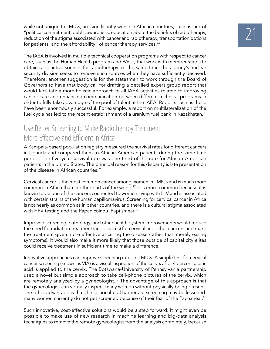while not unique to LMICs, are significantly worse in African countries, such as lack of<br>"political commitment, public awareness, education about the benefits of radiotherapy,<br>reduction of the stigma associated with cancer "political commitment, public awareness, education about the benefits of radiotherapy, for patients, and the affordability" of cancer therapy services.<sup>74</sup>

The IAEA is involved in multiple technical cooperation programs with respect to cancer care, such as the Human Health program and PACT, that work with member states to obtain radioactive sources for radiotherapy. At the same time, the agency's nuclear security division seeks to remove such sources when they have sufficiently decayed. Therefore, another suggestion is for the statesmen to work through the Board of Governors to have that body call for drafting a detailed expert group report that would facilitate a more holistic approach to all IAEA activities related to improving cancer care and enhancing communication between different technical programs in order to fully take advantage of the pool of talent at the IAEA. Reports such as these have been enormously successful. For example, a report on multilateralization of the fuel cycle has led to the recent establishment of a uranium fuel bank in Kazakhstan.<sup>75</sup>

### Use Better Screening to Make Radiotherapy Treatment More Effective and Efficient in Africa

A Kampala-based population registry measured the survival rates for different cancers in Uganda and compared them to African-American patients during the same time period. The five-year survival rate was one-third of the rate for African-American patients in the United States. The principal reason for this disparity is late presentation of the disease in African countries.<sup>76</sup>

Cervical cancer is the most common cancer among women in LMICs and is much more common in Africa than in other parts of the world.<sup>77</sup> It is more common because it is known to be one of the cancers connected to women living with HIV and is associated with certain strains of the human papillomavirus. Screening for cervical cancer in Africa is not nearly as common as in other countries, and there is a cultural stigma associated with HPV testing and the Papanicolaou (Pap) smear.<sup>78</sup>

Improved screening, pathology, and other health-system improvements would reduce the need for radiation treatment (and devices) for cervical and other cancers and make the treatment given more effective at curing the disease (rather than merely easing symptoms). It would also make it more likely that those outside of capital city elites could receive treatment in sufficient time to make a difference.

Innovative approaches can improve screening rates in LMICs. A simple test for cervical cancer screening (known as VIA) is a visual inspection of the cervix after 4 percent acetic acid is applied to the cervix. The Botswana-University of Pennsylvania partnership used a novel but simple approach to take cell-phone pictures of the cervix, which are remotely analyzed by a gynecologist.<sup>79</sup> The advantage of this approach is that the gynecologist can virtually inspect many women without physically being present. The other advantage is that the sociocultural barriers to screening may be lessened: many women currently do not get screened because of their fear of the Pap smear.<sup>80</sup>

Such innovative, cost-effective solutions would be a step forward. It might even be possible to make use of new research in machine learning and big-data analysis techniques to remove the remote gynecologist from the analysis completely, because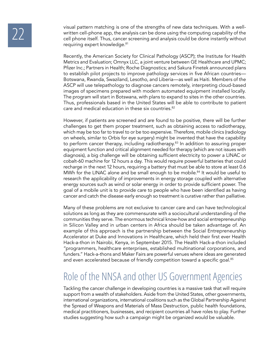visual pattern matching is one of the strengths of new data techniques. With a well-<br>written cell-phone app, the analysis can be done using the computing capability of the<br>cell phone itself. Thus, cancer screening and anal written cell-phone app, the analysis can be done using the computing capability of the cell phone itself. Thus, cancer screening and analysis could be done instantly without requiring expert knowledge.<sup>81</sup>

> Recently, the American Society for Clinical Pathology (ASCP); the Institute for Health Metrics and Evaluation; Omnyx LLC, a joint venture between GE Healthcare and UPMC; Pfizer Inc.; Partners in Health; Roche Diagnostics; and Sakura Finetek announced plans to establish pilot projects to improve pathology services in five African countries— Botswana, Rwanda, Swaziland, Lesotho, and Liberia—as well as Haiti. Members of the ASCP will use telepathology to diagnose cancers remotely, interpreting cloud-based images of specimens prepared with modern automated equipment installed locally. The program will start in Botswana, with plans to expand to sites in the other countries. Thus, professionals based in the United States will be able to contribute to patient care and medical education in these six countries.<sup>82</sup>

> However, if patients are screened and are found to be positive, there will be further challenges to get them proper treatment, such as obtaining access to radiotherapy, which may be too far to travel to or be too expensive. Therefore, mobile clinics (radiology on wheels, similar to Orbis for eye surgery) might be invented that have the capability to perform cancer therapy, including radiotherapy.<sup>83</sup> In addition to assuring proper equipment function and critical alignment needed for therapy (which are not issues with diagnosis), a big challenge will be obtaining sufficient electricity to power a LINAC or cobalt-60 machine for 12 hours a day. This would require powerful batteries that could recharge in the next 12 hours, requiring a battery that must be able to store at least 0.6 MWh for the LINAC alone and be small enough to be mobile.<sup>84</sup> It would be useful to research the applicability of improvements in energy storage coupled with alternative energy sources such as wind or solar energy in order to provide sufficient power. The goal of a mobile unit is to provide care to people who have been identified as having cancer and catch the disease early enough so treatment is curative rather than palliative.

> Many of these problems are not exclusive to cancer care and can have technological solutions as long as they are commensurate with a sociocultural understanding of the communities they serve. The enormous technical know-how and social entrepreneurship in Silicon Valley and in urban centers in Africa should be taken advantage of. An example of this approach is the partnership between the Social Entrepreneurship Accelerator at Duke and Innovations in Healthcare, which held their first ever Health Hack-a-thon in Nairobi, Kenya, in September 2015. The Health Hack-a-thon included "programmers, healthcare enterprises, established multinational corporations, and funders." Hack-a-thons and Maker Fairs are powerful venues where ideas are generated and even accelerated because of friendly competition toward a specific goal.<sup>85</sup>

## Role of the NNSA and other US Government Agencies

Tackling the cancer challenge in developing countries is a massive task that will require support from a wealth of stakeholders. Aside from the United States, other governments, international organizations, international coalitions such as the Global Partnership Against the Spread of Weapons and Materials of Mass Destruction, public health foundations, medical practitioners, businesses, and recipient countries all have roles to play. Further studies suggesting how such a campaign might be organized would be valuable.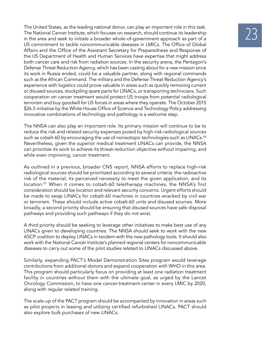The United States, as the leading national donor, can play an important role in this task.<br>The National Cancer Institute, which focuses on research, should continue its leadership<br>in the area and seek to initiate a broader The National Cancer Institute, which focuses on research, should continue its leadership US commitment to tackle noncommunicable diseases in LMICs. The Office of Global Affairs and the Office of the Assistant Secretary for Preparedness and Response of the US Department of Health and Human Services have expertise that might address both cancer care and risk from radiation sources. In the security arena, the Pentagon's Defense Threat Reduction Agency, which has been casting about for a new mission since its work in Russia ended, could be a valuable partner, along with regional commands such as the African Command. The military and the Defense Threat Reduction Agency's experience with logistics could prove valuable in areas such as quickly removing current or disused sources, stockpiling spare parts for LINACs, or transporting technicians. Such cooperation on cancer treatment would protect US troops from potential radiological terrorism and buy goodwill for US forces in areas where they operate. The October 2015 \$26.5 initiative by the White House Office of Science and Technology Policy addressing innovative combinations of technology and pathology is a welcome step.

The NNSA can also play an important role. Its primary mission will continue to be to reduce the risk and related security expenses posed by high-risk radiological sources such as cobalt-60 by encouraging the use of nonisotopic technologies such as LINACs.<sup>86</sup> Nevertheless, given the superior medical treatment LINACs can provide, the NNSA can prioritize its work to achieve its threat-reduction objective without impairing, and while even improving, cancer treatment.

As outlined in a previous, broader CNS report, NNSA efforts to replace high-risk radiological sources should be prioritized according to several criteria: the radioactive risk of the material, its perceived necessity to meet the given application, and its location.<sup>87</sup> When it comes to cobalt-60 teletherapy machines, the NNSA's first consideration should be location and relevant security concerns. Urgent efforts should be made to swap LINACs for cobalt-60 machines in countries wracked by civil war or terrorism. These should include active cobalt-60 units and disused sources. More broadly, a second priority should be ensuring that disused sources have safe disposal pathways and providing such pathways if they do not exist.

A third priority should be seeking to leverage other initiatives to make best use of any LINACs given to developing countries. The NNSA should seek to work with the new ASCP coalition to deploy LINACs in tandem with the new pathology tools. It should also work with the National Cancer Institute's planned regional centers for noncommunicable diseases to carry out some of the pilot studies related to LINACs discussed above.

Similarly, expanding PACT's Model Demonstration Sites program would leverage contributions from additional donors and expand cooperation with WHO in this area. This program should particularly focus on providing at least one radiation treatment facility in countries without them with the ultimate goal, as urged by the Lancet Oncology Commission, to have one cancer-treatment center in every LMIC by 2020, along with regular related training.

The scale-up of the PACT program should be accompanied by innovation in areas such as pilot projects in leasing and utilizing certified refurbished LINACs. PACT should also explore bulk purchases of new LINACs.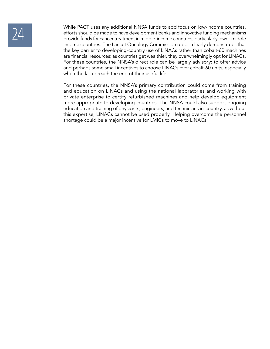While PACT uses any additional NNSA funds to add focus on low-income countries,<br>
efforts should be made to have development banks and innovative funding mechanisms<br>
provide funds for cancer treatment in middle-income count efforts should be made to have development banks and innovative funding mechanisms income countries. The Lancet Oncology Commission report clearly demonstrates that the key barrier to developing-country use of LINACs rather than cobalt-60 machines are financial resources; as countries get wealthier, they overwhelmingly opt for LINACs. For these countries, the NNSA's direct role can be largely advisory: to offer advice and perhaps some small incentives to choose LINACs over cobalt-60 units, especially when the latter reach the end of their useful life.

> For these countries, the NNSA's primary contribution could come from training and education on LINACs and using the national laboratories and working with private enterprise to certify refurbished machines and help develop equipment more appropriate to developing countries. The NNSA could also support ongoing education and training of physicists, engineers, and technicians in-country, as without this expertise, LINACs cannot be used properly. Helping overcome the personnel shortage could be a major incentive for LMICs to move to LINACs.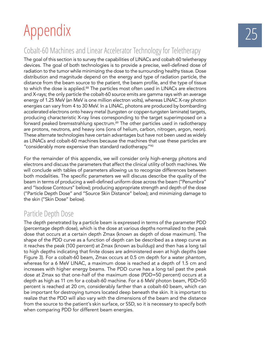# Appendix

### Cobalt-60 Machines and Linear Accelerator Technology for Teletherapy

The goal of this section is to survey the capabilities of LINACs and cobalt-60 teletherapy devices. The goal of both technologies is to provide a precise, well-defined dose of radiation to the tumor while minimizing the dose to the surrounding healthy tissue. Dose distribution and magnitude depend on the energy and type of radiation particle, the distance from the beam source to the patient, the beam profile, and the type of tissue to which the dose is applied.<sup>88</sup> The particles most often used in LINACs are electrons and X-rays; the only particle the cobalt-60 source emits are gamma rays with an average energy of 1.25 MeV (an MeV is one million electron volts), whereas LINAC X-ray photon energies can vary from 4 to 30 MeV. In a LINAC, photons are produced by bombarding accelerated electrons onto heavy metal (tungsten or copper-tungsten laminate) targets, producing characteristic X-ray lines corresponding to the target superimposed on a forward peaked bremsstrahlung spectrum.<sup>89</sup> The other particles used in radiotherapy are protons, neutrons, and heavy ions (ions of helium, carbon, nitrogen, argon, neon). These alternate technologies have certain advantages but have not been used as widely as LINACs and cobalt-60 machines because the machines that use these particles are "considerably more expensive than standard radiotherapy." $90$ 

For the remainder of this appendix, we will consider only high-energy photons and electrons and discuss the parameters that affect the clinical utility of both machines. We will conclude with tables of parameters allowing us to recognize differences between both modalities. The specific parameters we will discuss describe the quality of the beam in terms of producing a well-defined uniform dose across the beam ("Penumbra" and "Isodose Contours" below); producing appropriate strength and depth of the dose ("Particle Depth Dose" and "Source Skin Distance" below); and minimizing damage to the skin ("Skin Dose" below).

### Particle Depth Dose

The depth penetrated by a particle beam is expressed in terms of the parameter PDD (percentage depth dose), which is the dose at various depths normalized to the peak dose that occurs at a certain depth Zmax (known as depth of dose maximum). The shape of the PDD curve as a function of depth can be described as a steep curve as it reaches the peak (100 percent) at Zmax (known as buildup) and then has a long tail to high depths indicating that finite doses are administered even at high depths (see Figure 3). For a cobalt-60 beam, Zmax occurs at 0.5 cm depth for a water phantom, whereas for a 6 MeV LINAC, a maximum dose is reached at a depth of 1.5 cm and increases with higher energy beams. The PDD curve has a long tail past the peak dose at Zmax so that one-half of the maximum dose (PDD=50 percent) occurs at a depth as high as 11 cm for a cobalt-60 machine. For a 6 MeV photon beam, PDD=50 percent is reached at 20 cm, considerably farther than a cobalt-60 beam, which can be important for destroying tumors located deep beneath the skin. It is important to realize that the PDD will also vary with the dimensions of the beam and the distance from the source to the patient's skin surface, or SSD, so it is necessary to specify both when comparing PDD for different beam energies.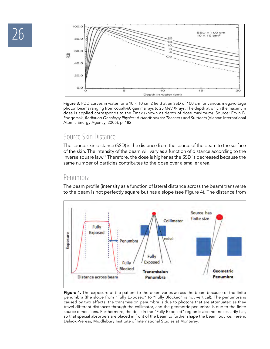

**Figure 3.** PDD curves in water for a 10 × 10 cm 2 field at an SSD of 100 cm for various megavoltage photon beams ranging from cobalt-60 gamma rays to 25 MeV X-rays. The depth at which the maximum dose is applied corresponds to the Zmax (known as depth of dose maximum). Source: Ervin B. Podgorsak, *Radiation Oncology Physics: A Handbook for Teachers and Students* (Vienna: International Atomic Energy Agency, 2005), p. 182.

### Source Skin Distance

The source skin distance (SSD) is the distance from the source of the beam to the surface of the skin. The intensity of the beam will vary as a function of distance according to the inverse square law.<sup>91</sup> Therefore, the dose is higher as the SSD is decreased because the same number of particles contributes to the dose over a smaller area.

#### Penumbra

The beam profile (intensity as a function of lateral distance across the beam) transverse to the beam is not perfectly square but has a slope (see Figure 4). The distance from



**Figure 4.** The exposure of the patient to the beam varies across the beam because of the finite penumbra (the slope from "Fully Exposed" to "Fully Blocked" is not vertical). The penumbra is caused by two effects: the transmission penumbra is due to photons that are attenuated as they travel different distances through the collimator, and the geometric penumbra is due to the finite source dimensions. Furthermore, the dose in the "Fully Exposed" region is also not necessarily flat, so that special absorbers are placed in front of the beam to further shape the beam. Source: Ferenc Dalnoki-Veress, Middlebury Institute of International Studies at Monterey.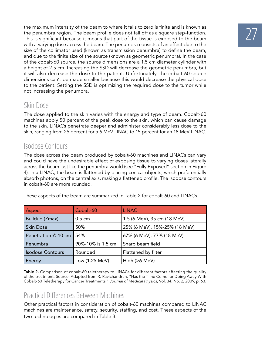the maximum intensity of the beam to where it falls to zero is finite and is known as<br>the penumbra region. The beam profile does not fall off as a square step-function.<br>This is significant because it means that part of the the penumbra region. The beam profile does not fall off as a square step-function. with a varying dose across the beam. The penumbra consists of an effect due to the size of the collimator used (known as transmission penumbra) to define the beam, and due to the finite size of the source (known as geometric penumbra). In the case of the cobalt-60 source, the source dimensions are a 1.5 cm diameter cylinder with a height of 2.5 cm. Increasing the SSD will decrease the geometric penumbra, but it will also decrease the dose to the patient. Unfortunately, the cobalt-60 source dimensions can't be made smaller because this would decrease the physical dose to the patient. Setting the SSD is optimizing the required dose to the tumor while not increasing the penumbra.

### Skin Dose

The dose applied to the skin varies with the energy and type of beam. Cobalt-60 machines apply 50 percent of the peak dose to the skin, which can cause damage to the skin. LINACs penetrate deeper and administer considerably less dose to the skin, ranging from 25 percent for a 6 MeV LINAC to 15 percent for an 18 MeV LINAC.

### Isodose Contours

The dose across the beam produced by cobalt-60 machines and LINACs can vary and could have the undesirable effect of exposing tissue to varying doses laterally across the beam just like the penumbra would (see "Fully Exposed" section in Figure 4). In a LINAC, the beam is flattened by placing conical objects, which preferentially absorb photons, on the central axis, making a flattened profile. The isodose contours in cobalt-60 are more rounded.

| Aspect                             | Cobalt-60        | <b>LINAC</b>                  |  |  |
|------------------------------------|------------------|-------------------------------|--|--|
| Buildup (Zmax)                     | $0.5 \text{ cm}$ | 1.5 (6 MeV), 35 cm (18 MeV)   |  |  |
| <b>Skin Dose</b>                   | 50%              | 25% (6 MeV), 15%-25% (18 MeV) |  |  |
| Penetration @ 10 cm                | 54%              | 67% (6 MeV), 77% (18 MeV)     |  |  |
| Penumbra<br>90%-10% is 1.5 cm      |                  | Sharp beam field              |  |  |
| Rounded<br><b>Isodose Contours</b> |                  | Flattened by filter           |  |  |
| <b>Energy</b>                      | Low (1.25 MeV)   | High (>6 MeV)                 |  |  |

These aspects of the beam are summarized in Table 2 for cobalt-60 and LINACs.

**Table 2.** Comparison of cobalt-60 teletherapy to LINACs for different factors affecting the quality of the treatment. Source: Adapted from R. Ravichandran, "Has the Time Come for Doing Away With Cobalt-60 Teletherapy for Cancer Treatments," *Journal of Medical Physics,* Vol. 34, No. 2, 2009, p. 63.

### Practical Differences Between Machines

Other practical factors in consideration of cobalt-60 machines compared to LINAC machines are maintenance, safety, security, staffing, and cost. These aspects of the two technologies are compared in Table 3.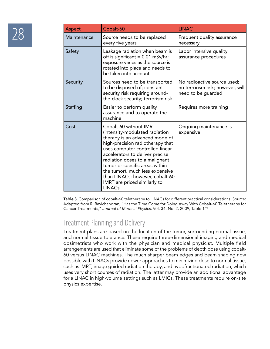|  | Aspect      | Cobalt-60                                                                                                                                                                                                                                                                                                                                                                                       | <b>LINAC</b>                                                                          |
|--|-------------|-------------------------------------------------------------------------------------------------------------------------------------------------------------------------------------------------------------------------------------------------------------------------------------------------------------------------------------------------------------------------------------------------|---------------------------------------------------------------------------------------|
|  | Maintenance | Source needs to be replaced<br>every five years                                                                                                                                                                                                                                                                                                                                                 | Frequent quality assurance<br>necessary                                               |
|  | Safety      | Leakage radiation when beam is<br>off is significant = $0.01$ mSv/hr;<br>exposure varies as the source is<br>rotated into place and needs to<br>be taken into account                                                                                                                                                                                                                           | Labor intensive quality<br>assurance procedures                                       |
|  | Security    | Sources need to be transported<br>to be disposed of; constant<br>security risk requiring around-<br>the-clock security; terrorism risk                                                                                                                                                                                                                                                          | No radioactive source used;<br>no terrorism risk; however, will<br>need to be guarded |
|  | Staffing    | Easier to perform quality<br>assurance and to operate the<br>machine                                                                                                                                                                                                                                                                                                                            | Requires more training                                                                |
|  | Cost        | Cobalt-60 without IMRT<br>(intensity-modulated radiation<br>therapy is an advanced mode of<br>high-precision radiotherapy that<br>uses computer-controlled linear<br>accelerators to deliver precise<br>radiation doses to a malignant<br>tumor or specific areas within<br>the tumor), much less expensive<br>than LINACs; however, cobalt-60<br>IMRT are priced similarly to<br><b>LINACs</b> | Ongoing maintenance is<br>expensive                                                   |

**Table 3.** Comparison of cobalt-60 teletherapy to LINACs for different practical considerations. Source: Adapted from R. Ravichandran, "Has the Time Come for Doing Away With Cobalt-60 Teletherapy for Cancer Treatments," *Journal of Medical Physics,* Vol. 34, No. 2, 2009, Table 1.92

### Treatment Planning and Delivery

Treatment plans are based on the location of the tumor, surrounding normal tissue, and normal tissue tolerance. These require three-dimensional imaging and medical dosimetrists who work with the physician and medical physicist. Multiple field arrangements are used that eliminate some of the problems of depth dose using cobalt-60 versus LINAC machines. The much sharper beam edges and beam shaping now possible with LINACs provide newer approaches to minimizing dose to normal tissue, such as IMRT, image guided radiation therapy, and hypofractionated radiation, which uses very short courses of radiation. The latter may provide an additional advantage for a LINAC in high-volume settings such as LMICs. These treatments require on-site physics expertise.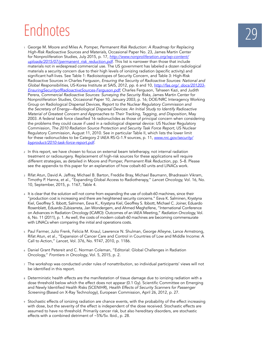## **Endnotes**

- <sup>1</sup>George M. Moore and Miles A. Pomper, *Permanent Risk Reduction: A Roadmap for Replacing High-Risk Radioactive Sources and Materials*, Occasional Paper No. 23, James Martin Center for Nonproliferation Studies, July 2015, p. 17, *http://www.nonproliferation.org/wp-content/ uploads/2015/07/permanent\_risk\_reduction.pdf*. This list is narrower than those that include materials not in widespread commercial use. The US government has labeled a dozen radiological materials a security concern due to their high levels of ionizing radiation (specific activity) and significant half-lives. See Table 1: Radioisotopes of Security Concern, and Table 3: High-Risk Radioactive Sources in Charles Ferguson, *Ensuring the Security of Radioactive Sources: National and Global Responsibilities*, US-Korea Institute at SAIS, 2012, pp. 6 and 10, *http://fas.org/\_docs/201203- EnsuringSecurityofRadioactiveSources-Ferguson.pdf*; Charles Ferguson, Tahseen Kazi, and Judith Perera, *Commercial Radioactive Sources: Surveying the Security Risks*, James Martin Center for Nonproliferation Studies, Occasional Paper 10, January 2003, p. 16; DOE/NRC Interagency Working Group on Radiological Dispersal Devices, *Report to the Nuclear Regulatory Commission and the Secretary of Energy—Radiological Dispersal Devices: An Initial Study to Identify Radioactive Material of Greatest Concern and Approaches to Their Tracking, Tagging, and Disposition*, May 2003. A federal task force classified 16 radionuclides as those of principal concern when considering the problems they could cause if used in a radiological dispersal device: US Nuclear Regulatory Commission, *The 2010 Radiation Source Protection and Security Task Force Report*, US Nuclear Regulatory Commission, August 11, 2010. See in particular Table II, which lists the lower limit for these radionuclides to be Category 2 IAEA RS-G-1.9 sources, p. 11, *www.nrc.gov/security/ byproduct/2010-task-force-report.pdf.*
- 2 In this report, we have chosen to focus on external beam teletherapy, not internal radiation treatment or radiosurgery. Replacement of high-risk sources for these applications will require different strategies, as detailed in Moore and Pomper, *Permanent Risk Reduction*, pp. 5–8. Please see the appendix to this paper for an explanation of how cobalt-60 units and LINACs work.
- 3 Rifat Atun, David A. Jaffray, Michael B. Barton, Freddie Bray, Michael Baumann, Bhadrasain Vikram, Timothy P. Hanna, et al., "Expanding Global Access to Radiotherapy," *Lancet Oncology,* Vol. 16, No. 10, September, 2015, p. 1167, Table 4.
- 4 It is clear that the solution will not come from expanding the use of cobalt-60 machines, since their "production cost is increasing and there are heightened security concerns." Eeva K. Salminen, Krystyna Kiel, Geoffrey S. Ibbott, Salminen, Eeva K., Krystyna Kiel, Geoffrey S. Ibbott, Michael C. Joiner, Eduardo Rosenblatt, Eduardo Zubizarreta, Jan Wondergem, and Ahmed Meghzifene, "International Conference on Advances in Radiation Oncology (ICARO): Outcomes of an IAEA Meeting," *Radiation Oncology,* Vol. 6, No. 11 (2011), p. 1. As well, the costs of modern cobalt-60 machines are becoming commensurate with LINACs when comparing the initial and operations costs.
- <sup>5</sup>Paul Farmer, Julio Frenk, Felicia M. Knaul, Lawrence N. Shulman, George Alleyne, Lance Armstrong, Rifat Atun, et al., "Expansion of Cancer Care and Control in Countries of Low and Middle Income: A Call to Action," *Lancet,* Vol. 376, No. 9747, 2010, p. 1186.
- 6 Daniel Grant Petereit and C. Norman Coleman, "Editorial: Global Challenges in Radiation Oncology," *Frontiers in Oncology*, Vol. 5, 2015, p. 2.
- 7 The workshop was conducted under rules of nonattribution, so individual participants' views will not be identified in this report.
- 8 Deterministic health effects are the manifestation of tissue damage due to ionizing radiation with a dose threshold below which the effect does not appear (0.1 Gy). Scientific Committee on Emerging and Newly Identified Health Risks (SCENIHR), *Health Effects of Security Scanners for Passenger Screening* (Based on X-Ray Technology), European Commission, April 26, 2012, p. 27.
- 9 Stochastic effects of ionizing radiation are chance events, with the probability of the effect increasing with dose, but the severity of the effect is independent of the dose received. Stochastic effects are assumed to have no threshold. Primarily cancer risk, but also hereditary disorders, are stochastic effects with a combined detriment of ~5%/Sv. Ibid., p. 28.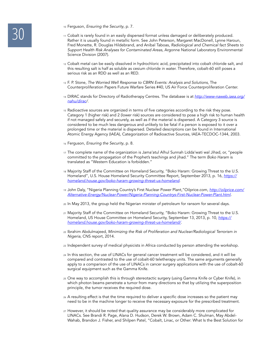- 
- <sup>10</sup> Ferguson, *Ensuring the Security*, p. 7.<br>
<sup>11</sup> Cobalt is rarely found in an easily disp<br>
Rather it is usually found in metallic fo  $_{11}$  Cobalt is rarely found in an easily dispersed format unless damaged or deliberately produced. Rather it is usually found in metallic form. See John Peterson, Margaret MacDonell, Lynne Haroun, Fred Monette, R. Douglas Hildebrand, and Anibal Taboas, *Radiological and Chemical fact Sheets to Support Health Risk Analyses for Contaminated Areas*, Argonne National Laboratory Environmental Science Division (2007).
	- 12 Cobalt metal can be easily dissolved in hydrochloric acid, precipitated into cobalt chloride salt, and this resulting salt is half as soluble as cesium chloride in water. Therefore, cobalt-60 still poses a serious risk as an RDD as well as an RED.
	- <sup>13</sup>F. P. Stone, *The Worried Well Response to CBRN Events: Analysis and Solutions*, The Counterproliferation Papers Future Warfare Series #40, US Air Force Counterproliferation Center.
	- 14 DIRAC stands for Directory of Radiotherapy Centres. The database is at *http://www-naweb.iaea.org/ nahu/dirac/*.
	- <sup>15</sup>Radioactive sources are organized in terms of five categories according to the risk they pose. Category 1 (higher risk) and 2 (lower risk) sources are considered to pose a high risk to human health if not managed safely and securely, as well as if the material is dispersed. A Category 3 source is considered to be much less dangerous and unlikely to be fatal if a person is exposed to it over a prolonged time or the material is dispersed. Detailed descriptions can be found in International Atomic Energy Agency (IAEA), Categorization of Radioactive Sources, IAEA-TECDOC-1344, 2003.
	- 16 Ferguson, *Ensuring the Security*, p. 8.
	- 17 The complete name of the organization is Jama'atul Alhul Sunnah Lidda'wati wal Jihad, or, "people committed to the propagation of the Prophet's teachings and jihad." The term *Boko Haram* is translated as "Western Education is forbidden."
	- 18  Majority Staff of the Committee on Homeland Security, "Boko Haram: Growing Threat to the U.S. Homeland", U.S. House Homeland Security Committee Report, September 2013, p. 16, *https:// homeland.house.gov/boko-haram-growing-threat-us-homeland.*
	- <sup>19</sup>John Daly, "Nigeria Planning Country's First Nuclear Power Plant,"Oilprice.com, *http://oilprice.com/ Alternative-Energy/Nuclear-Power/Nigeria-Planning-Countrys-First-Nuclear-Power-Plant.html.*
	- <sup>20</sup>In May 2013, the group held the Nigerian minister of petroleum for ransom for several days.
	- 21 Majority Staff of the Committee on Homeland Security, "Boko Haram: Growing Threat to the U.S. Homeland, US House Committee on Homeland Security, September 13, 2013, p. 10, *https:// homeland.house.gov/boko-haram-growing-threat-us-homeland/.*
	- 22 Ibrahim Abdulmajeed, *Minimizing the Risk of Proliferation and Nuclear/Radiological Terrorism in Nigeria*, CNS report, 2014.
	- 23 Independent survey of medical physicists in Africa conducted by person attending the workshop.
	- 24 In this section, the use of LINACs for general cancer treatment will be considered, and it will be compared and contrasted to the use of cobalt-60 teletherapy units. The same arguments generally apply to a comparison of the use of LINACs in cancer surgery applications with the use of cobalt-60 surgical equipment such as the Gamma Knife.
	- 25 One way to accomplish this is through stereotactic surgery (using Gamma Knife or Cyber Knife), in which photon beams penetrate a tumor from many directions so that by utilizing the superposition principle, the tumor receives the required dose.
	- <sup>26</sup>A resulting effect is that the time required to deliver a specific dose increases so the patient may need to be in the machine longer to receive the necessary exposure for the prescribed treatment.
	- 27 However, it should be noted that quality assurance may be considerably more complicated for LINACs. See Brandi R. Page, Alana D. Hudson, Derek W. Brown, Adam C. Shulman, May Abdel-Wahab, Brandon J. Fisher, and Shilpen Patel, "Cobalt, Linac, or Other: What Is the Best Solution for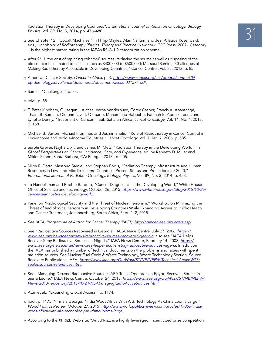Radiation Therapy in Developing Countries?, *International Journal of Radiation Oncology, Biology, Physics, Vol. 89, No. 3, 2014, pp. 476–480.*<br><sup>28</sup> See Chapter 12, "Cobalt Machines," in Philip Mayles, Alan Nahum, and Je *Physics,* Vol. 89, No. 3, 2014, pp. 476–480.

- eds., *Handbook of Radiotherapy Physics: Theory and Practice* (New York: CRC Press, 2007). Category 1 is the highest hazard rating in the IAEA's RS-G-1.9 categorization scheme.
- 29 After 9/11, the cost of replacing cobalt-60 sources (replacing the source as well as disposing of the old source) is estimated to cost as much as \$400,000 to \$500,000; Massoud Samiei, "Challenges of Making Radiotherapy Accessible in Developing Countries," Cancer Control, Vol. 85, 2013, p. 85.
- 30 American Cancer Society, *Cancer in Africa*, p. 3. *https://www.cancer.org/acs/groups/content/@ epidemiologysurveilance/documents/document/acspc-031574.pdf.*
- 31 Samiei, "Challenges," p. 85.
- <sup>32</sup>Ibid., p. 88.
- <sup>33</sup>T. Peter Kingham, Olusegun I. Alatise, Verna Vanderpuye, Corey Casper, Francis A. Abantanga, Thaim B. Kamara, Olufunmilayo I. Olopade, Muhammad Habeebu, Fatimah B. Abdulkareem, and Lynette Denny, "Treatment of Cancer in Sub-Saharan Africa, *Lancet Oncology,* Vol. 14, No. 4, 2013, p. 158.
- <sup>34</sup>Michael B. Barton, Michael Frommer, and Jesmin Shafiq, "Role of Radiotherapy in Cancer Control in Low-Income and Middle-Income Countries," Lancet Oncology, Vol. 7, No. 7, 2006, p. 585.
- 35 Surbhi Grover, Nayha Dixit, and James M. Metz, "Radiation Therapy in the Developing World," in *Global Perspectives on Cancer: Incidence, Care, and Experience*, ed. by Kenneth D. Miller and Miklos Simon (Santa Barbara, CA: Praeger, 2015), p. 205.
- 36 Niloy R. Datta, Massoud Samiei, and Stephan Bodis, "Radiation Therapy Infrastructure and Human Resources in Low- and Middle-Income Countries: Present Status and Projections for 2020," *International Journal of Radiation Oncology, Biology, Physics*, Vol. 89, No. 3, 2014, p. 453.
- 37 Jo Handelsman and Robbie Barbero, "Cancer Diagnostics in the Developing World," White House Office of Science and Technology, October 26, 2015, *https://www.whitehouse.gov/blog/2015/10/26/ cancer-diagnostics-developing-world.*
- 38  Panel on "Radiological Security and the Threat of Nuclear Terrorism," Workshop on Minimizing the Threat of Radiological Terrorism in Developing Countries While Expanding Access to Public Health and Cancer Treatment, Johannesburg, South Africa, Sept. 1–2, 2015.
- <sup>39</sup>*See IAEA, Programme of Action for Cancer Therapy (PACT), http://cancer.iaea.org/agart.asp*.
- 40 See "Radioactive Sources Recovered in Georgia," IAEA News Centre, July 27, 2006, *https:// www.iaea.org/newscenter/news/radioactive-sources-recovered-georgia*; also see "IAEA Helps Recover Stray Radioactive Sources in Nigeria," IAEA News Centre, February 14, 2008, *https:// www.iaea.org/newscenter/news/iaea-helps-recover-stray-radioactive-sources-nigeria*. In addition, the IAEA has published a number of technical documents on the problems and issues with spent radiation sources. See Nuclear Fuel Cycle & Waste Technology, Waste Technology Section, Source Recovery Publications, IAEA, *https://www.iaea.org/OurWork/ST/NE/NEFW/Technical-Areas/WTS/ sealedsources-references.html.*
- 41 See "Managing Disused Radioactive Sources: IAEA Trains Operators in Egypt, Recovers Source in Sierra Leone," IAEA News Centre, October 24, 2013, *https://www.iaea.org/OurWork/ST/NE/NEFW/ News/2013/repository/2013-10-24-NL-ManagingRadioActiveSources.html*.
- 42 Atun et al., "Expanding Global Access," p. 1174.
- 43 Ibid., p. 1175; Nirmala George, "India Woos Africa With Aid, Technology As China Looms Large," *World Politics Review*, October 27, 2015, *http://www.worldpoliticsreview.com/articles/17056/indiawoos-africa-with-aid-technology-as-china-looms-large.*
- 44 According to the XPRIZE Web site, "An XPRIZE is a highly leveraged, incentivized prize competition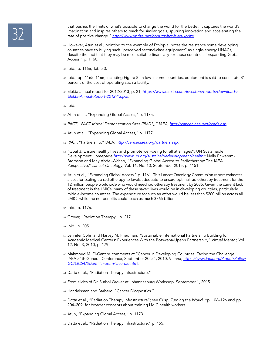that pushes the limits of what's possible to change the world for the better. It captures the world's<br>imagination and inspires others to reach for similar goals, spurring innovation and accelerating the<br>rate of positive ch imagination and inspires others to reach for similar goals, spurring innovation and accelerating the rate of positive change." *http://www.xprize.org/about/what-is-an-xprize.*

- 45 However, Atun et al., pointing to the example of Ethiopia, notes the resistance some developing countries have to buying such "perceived second-class equipment" as single-energy LINACs, despite the fact that they may be most suitable financially for those countries. "Expanding Global Access," p. 1160.
- 46 Ibid., p. 1166, Table 3.
- <sup>47</sup>Ibid., pp. 1165–1166, including Figure 8. In low-income countries, equipment is said to constitute 81 percent of the cost of operating such a facility.
- <sup>48</sup>Elekta annual report for 2012/2013, p. 21, *https://www.elekta.com/investors/reports/downloads/ Elekta-Annual-Report-2012-13.pdf.*
- 49 Ibid.
- 50 Atun et al., "Expanding Global Access," p. 1175.
- <sup>51</sup>*PACT, "PACT Model Demonstration Sites (PMDS)," IAEA, http://cancer.iaea.org/pmds.asp.*
- 52 Atun et al., "Expanding Global Access," p. 1177.
- 53 PACT, "Partnership," IAEA, *http://cancer.iaea.org/partners.asp.*
- 54 "Goal 3: Ensure healthy lives and promote well-being for all at all ages", UN Sustainable Development Homepage *http://www.un.org/sustainabledevelopment/health/*; Nelly Enwerem-Bromson and May Abdel-Wahab, "Expanding Global Access to Radiotherapy: The IAEA Perspective," *Lancet Oncology*, Vol. 16, No. 10, September 2015, p. 1151.
- 55 Atun et al., "Expanding Global Access," p. 1161. This Lancet Oncology Commission report estimates a cost for scaling up radiotherapy to levels adequate to ensure optimal radiotherapy treatment for the 12 million people worldwide who would need radiotherapy treatment by 2035. Given the current lack of treatment in the LMICs, many of these saved lives would be in developing countries, particularly middle-income countries. The expenditure for such an effort would be less than \$200 billion across all LMICs while the net benefits could reach as much \$365 billion.
- 56 Ibid., p. 1176.
- 57 Grover, "Radiation Therapy." p. 217.
- <sup>58</sup>Ibid., p. 205.
- 59 Jennifer Cohn and Harvey M. Friedman, "Sustainable International Partnership Building for Academic Medical Centers: Experiences With the Botswana-Upenn Partnership," *Virtual Mentor,* Vol. 12, No. 3, 2010, p. 179.
- <sup>60</sup>Mahmoud M. El-Gantiry, comments at "Cancer in Developing Countries: Facing the Challenge," IAEA 54th General Conference, September 20–24, 2010, Vienna, *https://www.iaea.org/About/Policy/* GC/GC54/ScientificForum/iaearole.html.
- 61 Datta et al., "Radiation Therapy Infrastructure."
- 62 From slides of Dr. Surbhi Grover at Johannesburg Workshop, September 1, 2015.
- 63 Handelsman and Barbero, "Cancer Diagnostics."
- 64 Datta et al., "Radiation Therapy Infrastructure"; see Crisp, *Turning the World*, pp. 106–126 and pp. 204–209, for broader concepts about training LMIC health workers.
- 65 Atun, "Expanding Global Access," p. 1173.
- 66 Datta et al., "Radiation Therapy Infrastructure," p. 455.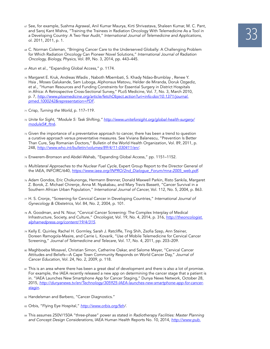- <sup>57</sup> See, for example, Sushma Agrawal, Anil Kumar Maurya, Kirti Shrivastava, Shaleen Kumar, M. C. Pant,<br>and Saroj Kant Mishra, "Training the Trainees in Radiation Oncology With Telemedicine As a Tool in<br>a Developing Countr and Saroj Kant Mishra, "Training the Trainees in Radiation Oncology With Telemedicine As a Tool in a Developing Country: A Two-Year Audit," *International Journal of Telemedicine and Applications,* ol. 2011, 2011, p. 1.
- <sup>68</sup>C. Norman Coleman, "Bringing Cancer Care to the Underserved Globally: A Challenging Problem for Which Radiation Oncology Can Pioneer Novel Solutions," *International Journal of Radiation Oncology, Biology, Physics,* Vol. 89, No. 3, 2014, pp. 443–445.
- 69 Atun et al., "Expanding Global Access," p. 1174.
- <sup>70</sup>Margaret E. Kruk, Andreas Wladis , Naboth Mbembati, S. Khady Ndao-Brumblay , Renee Y. Hsia , Moses Galukande, Sam Luboga, Alphonsus Matovu, Helder de Miranda, Doruk Ozgediz, et al., "Human Resources and Funding Constraints for Essential Surgery in District Hospitals in Africa: A Retrospective Cross-Sectional Survey," PLoS Medicine, Vol. 7, No. 3, March 2010, p. 7, *http://www.plosmedicine.org/article/fetchObject.action?uri=info:doi/10.1371/journal. pmed.1000242&representation=PDF*.
- 71 Crisp, *Turning the World*, p. 117–119.
- <sup>72</sup>*Unite for Sight, "Module 5: Task Shifting," http://www.uniteforsight.org/global-health-surgery/ module5#\_ftn6.*
- 73 Given the importance of a preventative approach to cancer, there has been a trend to question a curative approach versus preventative measures. See Viviana Balanescu, "Prevention Is Better Than Cure, Say Romanian Doctors," Bulletin of the World Health Organization, Vol. 89, 2011, p. 248, *http://www.who.int/bulletin/volumes/89/4/11-030411/en/.*
- 74 Enwerem-Bromson and Abdel-Wahab, "Expanding Global Access," pp. 1151–1152.
- <sup>75</sup>*Multilateral Approaches to the Nuclear Fuel Cycle*, Expert Group Report to the Director General of the IAEA, INFCIRC/640, *https://www.iaea.org/INPRO/2nd\_Dialogue\_Forum/mna-2005\_web.pdf*.
- <sup>76</sup>Adam Gondos, Eric Chokunonga, Hermann Brenner, Donald Maxwell Parkin, Risto Sankila, Margaret Z. Borok, Z. Michael Chirenje, Anna M. Nyakabau, and Mary Travis Bassett, "Cancer Survival in a Southern African Urban Population," *International Journal of Cancer,* Vol. 112, No. 5, 2004, p. 863.
- 77 H. S. Cronje, "Screening for Cervical Cancer in Developing Countries," *International Journal of Gynecology & Obstetrics, Vol.* 84, No. 2, 2004, p. 101.
- 78  A. Goodman, and N. Nour, "Cervical Cancer Screening: The Complex Interplay of Medical Infrastructure, Society, and Culture," *Oncologist*, Vol. 19, No*.* 4, 2014, p. 316, *http://theoncologist. alphamedpress.org/content/19/4/315.*
- <sup>79</sup>Kelly E. Quinley, Rachel H. Gormley, Sarah J. Ratcliffe, Ting Shih, Zsofia Szep, Ann Steiner, Doreen Ramogola-Masire, and Carrie L. Kovarik, "Use of Mobile Telemedicine for Cervical Cancer Screening," *Journal of Telemedicine and Telecare,* Vol. 17, No. 4, 2011, pp. 203–209.
- 80 Maghboeba Mosavel, Christian Simon, Catherine Oakar, and Salome Meyer, "Cervical Cancer Attitudes and Beliefs—A Cape Town Community Responds on World Cancer Day," *Journal of Cancer Education,* Vol. 24, No. 2, 2009, p. 118.
- 81 This is an area where there has been a great deal of development and there is also a lot of promise. For example, the IAEA recently released a new app on determining the cancer stage that a patient is in. "IAEA Launches New Smartphone App for Cancer Staging," Dunya News Network, October 28, 2015, *http://dunyanews.tv/en/Technology/305925-IAEA-launches-new-smartphone-app-for-cancerstagin.*
- 82 Handelsman and Barbero, "Cancer Diagnostics."
- 83  Orbis, "Flying Eye Hospital," *http://www.orbis.org/feh/*.
- <sup>84</sup>This assumes 250V/150A "three-phase" power as stated in *Radiotherapy Facilities: Master Planning and Concept Design Considerations*, IAEA Human Health Reports No. 10, 2014, *http://www-pub.*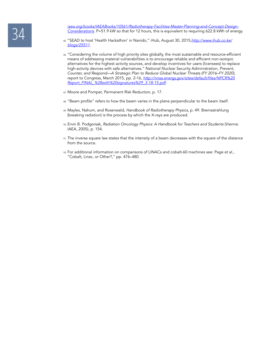iaea.org/books/IAEABooks/10561/Radiotherapy-Facilities-Master-Planning-and-Concept-Design-<br>Considerations. P=51.9 kW so that for 12 hours, this is equivalent to requiring 622.8 kWh of enery<br><sub>85</sub> "SEAD to host 'Health Hacka *Considerations*. P=51.9 kW so that for 12 hours, this is equivalent to requiring 622.8 kWh of energy.

- <sup>85</sup>"SEAD to host 'Health Hackathon' in Nairobi," iHub, August 30, 2015,*http://www.ihub.co.ke/ blogs/25511*.
- 86 "Considering the volume of high priority sites globally, the most sustainable and resource-efficient means of addressing material vulnerabilities is to encourage reliable and efficient non-isotopic alternatives for the highest activity sources, and develop incentives for users (licensees) to replace high-activity devices with safe alternatives." National Nuclear Security Administration, *Prevent, Counter, and Respond—A Strategic Plan to Reduce Global Nuclear Threats (FY 2016–FY 2020)*, report to Congress, March 2015, pp. 2-16, http://nnsa.energy.gov/sites/default/files/NPCR%20 Report\_FINAL\_%28with%20signatures%29\_3-18-15.pdf*.*
- 87  Moore and Pomper, *Permanent Risk Reduction*, p. 17.
- 88 "Beam profile" refers to how the beam varies in the plane perpendicular to the beam itself.
- 89  Mayles, Nahum, and Rosenwald, *Handbook of Radiotherapy Physics*, p. 49. Bremsstrahlung (breaking radiation) is the process by which the X-rays are produced.
- 90 Ervin B. Podgorsak, *Radiation Oncology Physics: A Handbook for Teachers and Students* (Vienna: IAEA, 2005), p. 154.
- 91 The inverse square law states that the intensity of a beam decreases with the square of the distance from the source.
- <sup>92</sup>For additional information on comparisons of LINACs and cobalt-60 machines see: Page et al., "Cobalt, Linac, or Other?," pp. 476–480.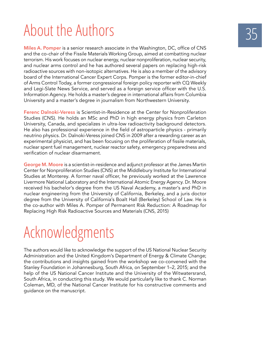# About the Authors

**Miles A. Pomper** is a senior research associate in the Washington, DC, office of CNS and the co-chair of the Fissile Materials Working Group, aimed at combatting nuclear terrorism. His work focuses on nuclear energy, nuclear nonproliferation, nuclear security, and nuclear arms control and he has authored several papers on replacing high-risk radioactive sources with non-isotopic alternatives. He is also a member of the advisory board of the International Cancer Expert Corps. Pomper is the former editor-in-chief of Arms Control Today, a former congressional foreign policy reporter with CQ Weekly and Legi-Slate News Service, and served as a foreign service officer with the U.S. Information Agency. He holds a master's degree in international affairs from Columbia University and a master's degree in journalism from Northwestern University.

**Ferenc Dalnoki-Veress** is Scientist-in-Residence at the Center for Nonproliferation Studies (CNS). He holds an MSc and PhD in high energy physics from Carleton University, Canada, and specializes in ultra-low radioactivity background detectors. He also has professional experience in the field of astroparticle physics - primarily neutrino physics. Dr. Dalnoki-Veress joined CNS in 2009 after a rewarding career as an experimental physicist, and has been focusing on the proliferation of fissile materials, nuclear spent fuel management, nuclear reactor safety, emergency preparedness and verification of nuclear disarmament.

**George M. Moore** is a scientist-in-residence and adjunct professor at the James Martin Center for Nonproliferation Studies (CNS) at the Middlebury Institute for International Studies at Monterey. A former naval officer, he previously worked at the Lawrence Livermore National Laboratory and the International Atomic Energy Agency. Dr. Moore received his bachelor's degree from the US Naval Academy, a master's and PhD in nuclear engineering from the University of California, Berkeley, and a juris doctor degree from the University of California's Boalt Hall (Berkeley) School of Law. He is the co-author with Miles A. Pomper of Permanent Risk Reduction: A Roadmap for Replacing High Risk Radioactive Sources and Materials (CNS, 2015)

# Acknowledgments

The authors would like to acknowledge the support of the US National Nuclear Security Administration and the United Kingdom's Department of Energy & Climate Change; the contributions and insights gained from the workshop we co-convened with the Stanley Foundation in Johannesburg, South Africa, on September 1–2, 2015; and the help of the US National Cancer Institute and the University of the Witwatersrand, South Africa, in conducting this study. We would particularly like to thank C. Norman Coleman, MD, of the National Cancer Institute for his constructive comments and guidance on the manuscript.